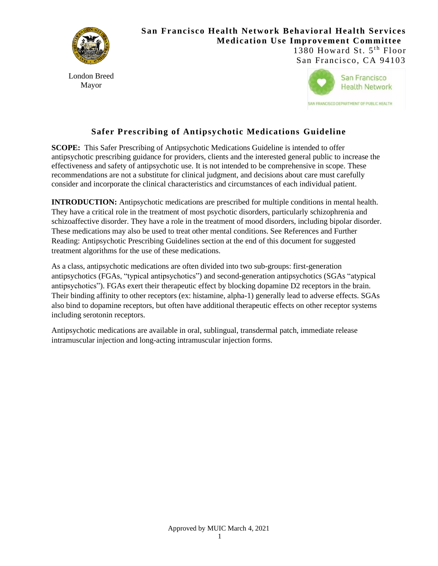

# **San Francisco Health Network Behavioral Health Services Medication Use Improvement Committee**

London Breed Mayor

1380 Howard St.  $5<sup>th</sup>$  Floor San Francisco, CA 94103



# **Safer Prescribing of Antipsychotic Medications Guideline**

**SCOPE:** This Safer Prescribing of Antipsychotic Medications Guideline is intended to offer antipsychotic prescribing guidance for providers, clients and the interested general public to increase the effectiveness and safety of antipsychotic use. It is not intended to be comprehensive in scope. These recommendations are not a substitute for clinical judgment, and decisions about care must carefully consider and incorporate the clinical characteristics and circumstances of each individual patient.

**INTRODUCTION:** Antipsychotic medications are prescribed for multiple conditions in mental health. They have a critical role in the treatment of most psychotic disorders, particularly schizophrenia and schizoaffective disorder. They have a role in the treatment of mood disorders, including bipolar disorder. These medications may also be used to treat other mental conditions. See References and Further Reading: Antipsychotic Prescribing Guidelines section at the end of this document for suggested treatment algorithms for the use of these medications.

As a class, antipsychotic medications are often divided into two sub-groups: first-generation antipsychotics (FGAs, "typical antipsychotics") and second-generation antipsychotics (SGAs "atypical antipsychotics"). FGAs exert their therapeutic effect by blocking dopamine D2 receptors in the brain. Their binding affinity to other receptors (ex: histamine, alpha-1) generally lead to adverse effects. SGAs also bind to dopamine receptors, but often have additional therapeutic effects on other receptor systems including serotonin receptors.

Antipsychotic medications are available in oral, sublingual, transdermal patch, immediate release intramuscular injection and long-acting intramuscular injection forms.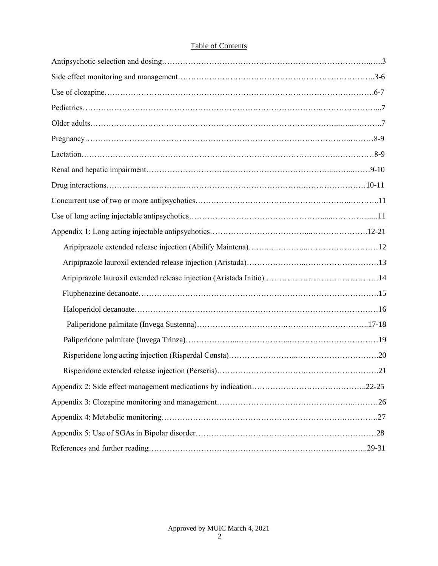# Table of Contents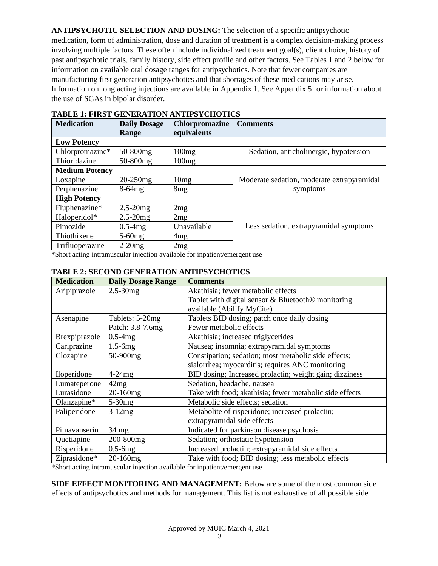**ANTIPSYCHOTIC SELECTION AND DOSING:** The selection of a specific antipsychotic

medication, form of administration, dose and duration of treatment is a complex decision-making process involving multiple factors. These often include individualized treatment goal(s), client choice, history of past antipsychotic trials, family history, side effect profile and other factors. See Tables 1 and 2 below for information on available oral dosage ranges for antipsychotics. Note that fewer companies are manufacturing first generation antipsychotics and that shortages of these medications may arise. Information on long acting injections are available in Appendix 1. See Appendix 5 for information about the use of SGAs in bipolar disorder.

| <b>Medication</b>     | <b>Daily Dosage</b> | <b>Chlorpromazine</b><br><b>Comments</b> |                                            |
|-----------------------|---------------------|------------------------------------------|--------------------------------------------|
|                       | Range               | equivalents                              |                                            |
| <b>Low Potency</b>    |                     |                                          |                                            |
| Chlorpromazine*       | 50-800mg            | 100mg                                    | Sedation, anticholinergic, hypotension     |
| Thioridazine          | 50-800mg            | 100mg                                    |                                            |
| <b>Medium Potency</b> |                     |                                          |                                            |
| Loxapine              | $20-250mg$          | 10mg                                     | Moderate sedation, moderate extrapyramidal |
| Perphenazine          | $8-64mg$            | 8 <sub>mg</sub>                          | symptoms                                   |
| <b>High Potency</b>   |                     |                                          |                                            |
| Fluphenazine*         | $2.5 - 20mg$        | 2mg                                      |                                            |
| Haloperidol*          | $2.5 - 20mg$        | 2mg                                      |                                            |
| Pimozide              | $0.5-4mg$           | Unavailable                              | Less sedation, extrapyramidal symptoms     |
| Thiothixene           | $5-60$ mg           | 4mg                                      |                                            |
| Trifluoperazine       | $2-20mg$            | 2mg                                      |                                            |

# **TABLE 1: FIRST GENERATION ANTIPSYCHOTICS**

\*Short acting intramuscular injection available for inpatient/emergent use

## **TABLE 2: SECOND GENERATION ANTIPSYCHOTICS**

| <b>Medication</b> | <b>Daily Dosage Range</b> | <b>Comments</b>                                                |  |
|-------------------|---------------------------|----------------------------------------------------------------|--|
| Aripiprazole      | $2.5 - 30mg$              | Akathisia; fewer metabolic effects                             |  |
|                   |                           | Tablet with digital sensor & Bluetooth <sup>®</sup> monitoring |  |
|                   |                           | available (Abilify MyCite)                                     |  |
| Asenapine         | Tablets: 5-20mg           | Tablets BID dosing; patch once daily dosing                    |  |
|                   | Patch: 3.8-7.6mg          | Fewer metabolic effects                                        |  |
| Brexpiprazole     | $0.5-4mg$                 | Akathisia; increased triglycerides                             |  |
| Cariprazine       | $1.5-6mg$                 | Nausea; insomnia; extrapyramidal symptoms                      |  |
| Clozapine         | 50-900mg                  | Constipation; sedation; most metabolic side effects;           |  |
|                   |                           | sialorrhea; myocarditis; requires ANC monitoring               |  |
| Iloperidone       | $4-24mg$                  | BID dosing; Increased prolactin; weight gain; dizziness        |  |
| Lumateperone      | 42mg                      | Sedation, headache, nausea                                     |  |
| Lurasidone        | 20-160mg                  | Take with food; akathisia; fewer metabolic side effects        |  |
| Olanzapine*       | $5-30mg$                  | Metabolic side effects; sedation                               |  |
| Paliperidone      | $3-12mg$                  | Metabolite of risperidone; increased prolactin;                |  |
|                   |                           | extrapyramidal side effects                                    |  |
| Pimavanserin      | 34 mg                     | Indicated for parkinson disease psychosis                      |  |
| Quetiapine        | 200-800mg                 | Sedation; orthostatic hypotension                              |  |
| Risperidone       | $0.5-6mg$                 | Increased prolactin; extrapyramidal side effects               |  |
| Ziprasidone*      | 20-160mg                  | Take with food; BID dosing; less metabolic effects             |  |

\*Short acting intramuscular injection available for inpatient/emergent use

**SIDE EFFECT MONITORING AND MANAGEMENT:** Below are some of the most common side effects of antipsychotics and methods for management. This list is not exhaustive of all possible side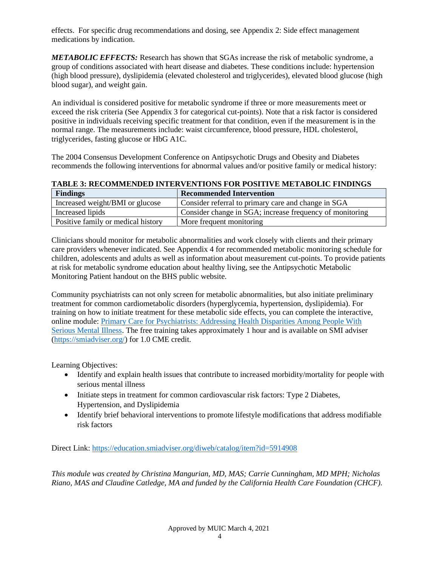effects. For specific drug recommendations and dosing, see Appendix 2: Side effect management medications by indication.

*METABOLIC EFFECTS:* Research has shown that SGAs increase the risk of metabolic syndrome, a group of conditions associated with heart disease and diabetes. These conditions include: hypertension (high blood pressure), dyslipidemia (elevated cholesterol and triglycerides), elevated blood glucose (high blood sugar), and weight gain.

An individual is considered positive for metabolic syndrome if three or more measurements meet or exceed the risk criteria (See Appendix 3 for categorical cut-points). Note that a risk factor is considered positive in individuals receiving specific treatment for that condition, even if the measurement is in the normal range. The measurements include: waist circumference, blood pressure, HDL cholesterol, triglycerides, fasting glucose or HbG A1C.

The 2004 Consensus Development Conference on Antipsychotic Drugs and Obesity and Diabetes recommends the following interventions for abnormal values and/or positive family or medical history:

| <b>TABLE 3: RECOMMENDED INTERVENTIONS FOR POSITIVE METABOLIC FINDINGS</b> |  |  |
|---------------------------------------------------------------------------|--|--|
|                                                                           |  |  |

| <b>Findings</b>                    | <b>Recommended Intervention</b>                          |
|------------------------------------|----------------------------------------------------------|
| Increased weight/BMI or glucose    | Consider referral to primary care and change in SGA      |
| Increased lipids                   | Consider change in SGA; increase frequency of monitoring |
| Positive family or medical history | More frequent monitoring                                 |

Clinicians should monitor for metabolic abnormalities and work closely with clients and their primary care providers whenever indicated. See Appendix 4 for recommended metabolic monitoring schedule for children, adolescents and adults as well as information about measurement cut-points. To provide patients at risk for metabolic syndrome education about healthy living, see the Antipsychotic Metabolic Monitoring Patient handout on the BHS public website.

Community psychiatrists can not only screen for metabolic abnormalities, but also initiate preliminary treatment for common cardiometabolic disorders (hyperglycemia, hypertension, dyslipidemia). For training on how to initiate treatment for these metabolic side effects, you can complete the interactive, online module: [Primary Care for Psychiatrists: Addressing Health Disparities Among People With](https://education.smiadviser.org/diweb/catalog/item?id=5914908)  [Serious Mental Illness.](https://education.smiadviser.org/diweb/catalog/item?id=5914908) The free training takes approximately 1 hour and is available on SMI adviser [\(https://smiadviser.org/\)](https://smiadviser.org/) for 1.0 CME credit.

Learning Objectives:

- Identify and explain health issues that contribute to increased morbidity/mortality for people with serious mental illness
- Initiate steps in treatment for common cardiovascular risk factors: Type 2 Diabetes, Hypertension, and Dyslipidemia
- Identify brief behavioral interventions to promote lifestyle modifications that address modifiable risk factors

Direct Link:<https://education.smiadviser.org/diweb/catalog/item?id=5914908>

*This module was created by Christina Mangurian, MD, MAS; Carrie Cunningham, MD MPH; Nicholas Riano, MAS and Claudine Catledge, MA and funded by the California Health Care Foundation (CHCF).*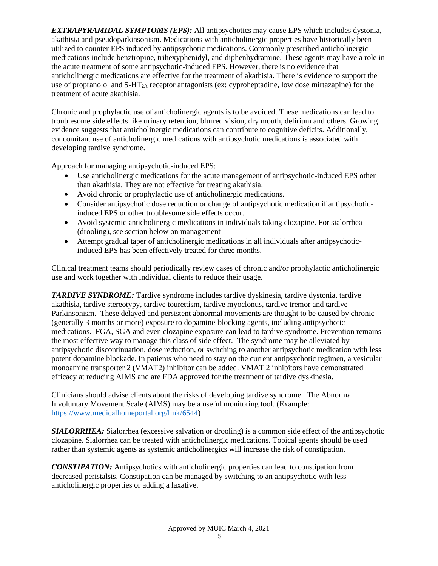*EXTRAPYRAMIDAL SYMPTOMS (EPS):* All antipsychotics may cause EPS which includes dystonia, akathisia and pseudoparkinsonism. Medications with anticholinergic properties have historically been utilized to counter EPS induced by antipsychotic medications. Commonly prescribed anticholinergic medications include benztropine, trihexyphenidyl, and diphenhydramine. These agents may have a role in the acute treatment of some antipsychotic-induced EPS. However, there is no evidence that anticholinergic medications are effective for the treatment of akathisia. There is evidence to support the use of propranolol and  $5-\text{HT}_{2A}$  receptor antagonists (ex: cyproheptadine, low dose mirtazapine) for the treatment of acute akathisia.

Chronic and prophylactic use of anticholinergic agents is to be avoided. These medications can lead to troublesome side effects like urinary retention, blurred vision, dry mouth, delirium and others. Growing evidence suggests that anticholinergic medications can contribute to cognitive deficits. Additionally, concomitant use of anticholinergic medications with antipsychotic medications is associated with developing tardive syndrome.

Approach for managing antipsychotic-induced EPS:

- Use anticholinergic medications for the acute management of antipsychotic-induced EPS other than akathisia. They are not effective for treating akathisia.
- Avoid chronic or prophylactic use of anticholinergic medications.
- Consider antipsychotic dose reduction or change of antipsychotic medication if antipsychoticinduced EPS or other troublesome side effects occur.
- Avoid systemic anticholinergic medications in individuals taking clozapine. For sialorrhea (drooling), see section below on management
- Attempt gradual taper of anticholinergic medications in all individuals after antipsychoticinduced EPS has been effectively treated for three months.

Clinical treatment teams should periodically review cases of chronic and/or prophylactic anticholinergic use and work together with individual clients to reduce their usage.

**TARDIVE SYNDROME:** Tardive syndrome includes tardive dyskinesia, tardive dystonia, tardive akathisia, tardive stereotypy, tardive tourettism, tardive myoclonus, tardive tremor and tardive Parkinsonism. These delayed and persistent abnormal movements are thought to be caused by chronic (generally 3 months or more) exposure to dopamine-blocking agents, including antipsychotic medications. FGA, SGA and even clozapine exposure can lead to tardive syndrome. Prevention remains the most effective way to manage this class of side effect. The syndrome may be alleviated by antipsychotic discontinuation, dose reduction, or switching to another antipsychotic medication with less potent dopamine blockade. In patients who need to stay on the current antipsychotic regimen, a vesicular monoamine transporter 2 (VMAT2) inhibitor can be added. VMAT 2 inhibitors have demonstrated efficacy at reducing AIMS and are FDA approved for the treatment of tardive dyskinesia.

Clinicians should advise clients about the risks of developing tardive syndrome. The Abnormal Involuntary Movement Scale (AIMS) may be a useful monitoring tool. (Example: [https://www.medicalhomeportal.org/link/6544\)](https://www.medicalhomeportal.org/link/6544)

*SIALORRHEA:* Sialorrhea (excessive salvation or drooling) is a common side effect of the antipsychotic clozapine. Sialorrhea can be treated with anticholinergic medications. Topical agents should be used rather than systemic agents as systemic anticholinergics will increase the risk of constipation.

*CONSTIPATION:* Antipsychotics with anticholinergic properties can lead to constipation from decreased peristalsis. Constipation can be managed by switching to an antipsychotic with less anticholinergic properties or adding a laxative.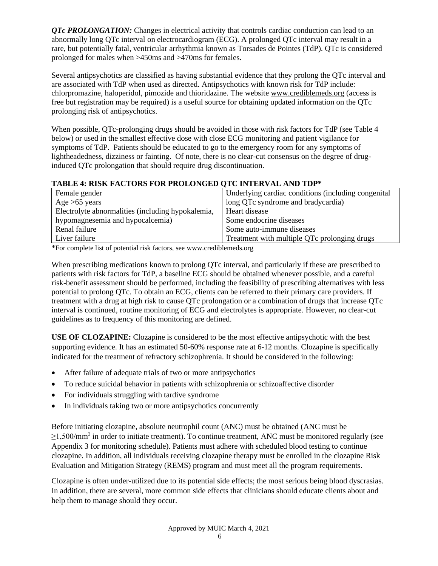*QTc PROLONGATION:* Changes in electrical activity that controls cardiac conduction can lead to an abnormally long QTc interval on electrocardiogram (ECG). A prolonged QTc interval may result in a rare, but potentially fatal, ventricular arrhythmia known as Torsades de Pointes (TdP). QTc is considered prolonged for males when >450ms and >470ms for females.

Several antipsychotics are classified as having substantial evidence that they prolong the QTc interval and are associated with TdP when used as directed. Antipsychotics with known risk for TdP include: chlorpromazine, haloperidol, pimozide and thioridazine. The website www.crediblemeds.org (access is free but registration may be required) is a useful source for obtaining updated information on the QTc prolonging risk of antipsychotics.

When possible, OTc-prolonging drugs should be avoided in those with risk factors for TdP (see Table 4 below) or used in the smallest effective dose with close ECG monitoring and patient vigilance for symptoms of TdP. Patients should be educated to go to the emergency room for any symptoms of lightheadedness, dizziness or fainting. Of note, there is no clear-cut consensus on the degree of druginduced QTc prolongation that should require drug discontinuation.

# **TABLE 4: RISK FACTORS FOR PROLONGED QTC INTERVAL AND TDP\***

| Female gender                                     | Underlying cardiac conditions (including congenital |
|---------------------------------------------------|-----------------------------------------------------|
| Age $>65$ years                                   | long QTc syndrome and bradycardia)                  |
| Electrolyte abnormalities (including hypokalemia, | Heart disease                                       |
| hypomagnesemia and hypocalcemia)                  | Some endocrine diseases                             |
| Renal failure                                     | Some auto-immune diseases                           |
| Liver failure                                     | Treatment with multiple QTc prolonging drugs        |

\*For complete list of potential risk factors, see www.crediblemeds.org

When prescribing medications known to prolong QTc interval, and particularly if these are prescribed to patients with risk factors for TdP, a baseline ECG should be obtained whenever possible, and a careful risk-benefit assessment should be performed, including the feasibility of prescribing alternatives with less potential to prolong QTc. To obtain an ECG, clients can be referred to their primary care providers. If treatment with a drug at high risk to cause QTc prolongation or a combination of drugs that increase QTc interval is continued, routine monitoring of ECG and electrolytes is appropriate. However, no clear-cut guidelines as to frequency of this monitoring are defined.

**USE OF CLOZAPINE:** Clozapine is considered to be the most effective antipsychotic with the best supporting evidence. It has an estimated 50-60% response rate at 6-12 months. Clozapine is specifically indicated for the treatment of refractory schizophrenia. It should be considered in the following:

- After failure of adequate trials of two or more antipsychotics
- To reduce suicidal behavior in patients with schizophrenia or schizoaffective disorder
- For individuals struggling with tardive syndrome
- In individuals taking two or more antipsychotics concurrently

Before initiating clozapine, absolute neutrophil count (ANC) must be obtained (ANC must be  $\geq$ 1,500/mm<sup>3</sup> in order to initiate treatment). To continue treatment, ANC must be monitored regularly (see Appendix 3 for monitoring schedule). Patients must adhere with scheduled blood testing to continue clozapine. In addition, all individuals receiving clozapine therapy must be enrolled in the clozapine Risk Evaluation and Mitigation Strategy (REMS) program and must meet all the program requirements.

Clozapine is often under-utilized due to its potential side effects; the most serious being blood dyscrasias. In addition, there are several, more common side effects that clinicians should educate clients about and help them to manage should they occur.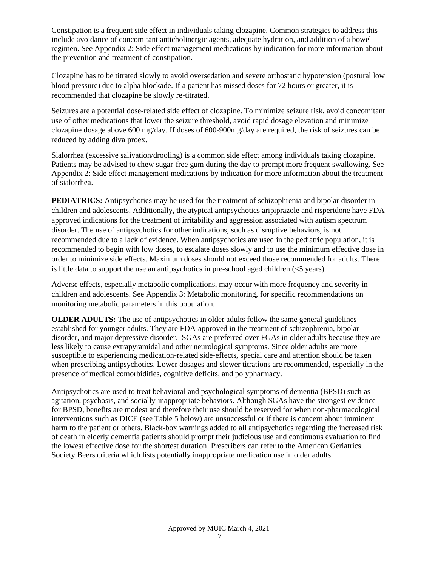Constipation is a frequent side effect in individuals taking clozapine. Common strategies to address this include avoidance of concomitant anticholinergic agents, adequate hydration, and addition of a bowel regimen. See Appendix 2: Side effect management medications by indication for more information about the prevention and treatment of constipation.

Clozapine has to be titrated slowly to avoid oversedation and severe orthostatic hypotension (postural low blood pressure) due to alpha blockade. If a patient has missed doses for 72 hours or greater, it is recommended that clozapine be slowly re-titrated.

Seizures are a potential dose-related side effect of clozapine. To minimize seizure risk, avoid concomitant use of other medications that lower the seizure threshold, avoid rapid dosage elevation and minimize clozapine dosage above 600 mg/day. If doses of 600-900mg/day are required, the risk of seizures can be reduced by adding divalproex.

Sialorrhea (excessive salivation/drooling) is a common side effect among individuals taking clozapine. Patients may be advised to chew sugar-free gum during the day to prompt more frequent swallowing. See Appendix 2: Side effect management medications by indication for more information about the treatment of sialorrhea.

**PEDIATRICS:** Antipsychotics may be used for the treatment of schizophrenia and bipolar disorder in children and adolescents. Additionally, the atypical antipsychotics aripiprazole and risperidone have FDA approved indications for the treatment of irritability and aggression associated with autism spectrum disorder. The use of antipsychotics for other indications, such as disruptive behaviors, is not recommended due to a lack of evidence. When antipsychotics are used in the pediatric population, it is recommended to begin with low doses, to escalate doses slowly and to use the minimum effective dose in order to minimize side effects. Maximum doses should not exceed those recommended for adults. There is little data to support the use an antipsychotics in pre-school aged children  $(<5$  years).

Adverse effects, especially metabolic complications, may occur with more frequency and severity in children and adolescents. See Appendix 3: Metabolic monitoring, for specific recommendations on monitoring metabolic parameters in this population.

**OLDER ADULTS:** The use of antipsychotics in older adults follow the same general guidelines established for younger adults. They are FDA-approved in the treatment of schizophrenia, bipolar disorder, and major depressive disorder. SGAs are preferred over FGAs in older adults because they are less likely to cause extrapyramidal and other neurological symptoms. Since older adults are more susceptible to experiencing medication-related side-effects, special care and attention should be taken when prescribing antipsychotics. Lower dosages and slower titrations are recommended, especially in the presence of medical comorbidities, cognitive deficits, and polypharmacy.

Antipsychotics are used to treat behavioral and psychological symptoms of dementia (BPSD) such as agitation, psychosis, and socially-inappropriate behaviors. Although SGAs have the strongest evidence for BPSD, benefits are modest and therefore their use should be reserved for when non-pharmacological interventions such as DICE (see Table 5 below) are unsuccessful or if there is concern about imminent harm to the patient or others. Black-box warnings added to all antipsychotics regarding the increased risk of death in elderly dementia patients should prompt their judicious use and continuous evaluation to find the lowest effective dose for the shortest duration. Prescribers can refer to the American Geriatrics Society Beers criteria which lists potentially inappropriate medication use in older adults.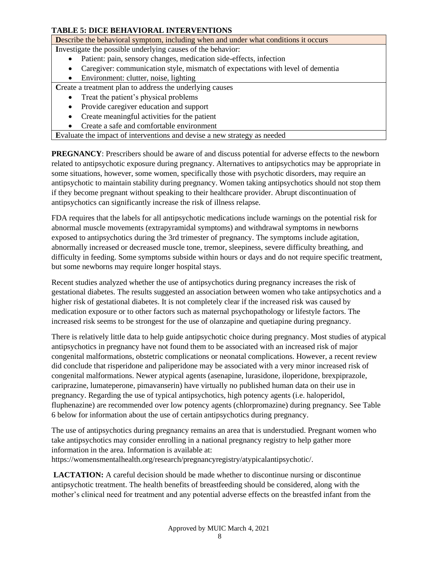# **TABLE 5: DICE BEHAVIORAL INTERVENTIONS**

**D**escribe the behavioral symptom, including when and under what conditions it occurs

**I**nvestigate the possible underlying causes of the behavior:

- Patient: pain, sensory changes, medication side-effects, infection
- Caregiver: communication style, mismatch of expectations with level of dementia
- Environment: clutter, noise, lighting

Create a treatment plan to address the underlying causes

- Treat the patient's physical problems
- Provide caregiver education and support
- Create meaningful activities for the patient
- Create a safe and comfortable environment

**E**valuate the impact of interventions and devise a new strategy as needed

**PREGNANCY**: Prescribers should be aware of and discuss potential for adverse effects to the newborn related to antipsychotic exposure during pregnancy. Alternatives to antipsychotics may be appropriate in some situations, however, some women, specifically those with psychotic disorders, may require an antipsychotic to maintain stability during pregnancy. Women taking antipsychotics should not stop them if they become pregnant without speaking to their healthcare provider. Abrupt discontinuation of antipsychotics can significantly increase the risk of illness relapse.

FDA requires that the labels for all antipsychotic medications include warnings on the potential risk for abnormal muscle movements (extrapyramidal symptoms) and withdrawal symptoms in newborns exposed to antipsychotics during the 3rd trimester of pregnancy. The symptoms include agitation, abnormally increased or decreased muscle tone, tremor, sleepiness, severe difficulty breathing, and difficulty in feeding. Some symptoms subside within hours or days and do not require specific treatment, but some newborns may require longer hospital stays.

Recent studies analyzed whether the use of antipsychotics during pregnancy increases the risk of gestational diabetes. The results suggested an association between women who take antipsychotics and a higher risk of gestational diabetes. It is not completely clear if the increased risk was caused by medication exposure or to other factors such as maternal psychopathology or lifestyle factors. The increased risk seems to be strongest for the use of olanzapine and quetiapine during pregnancy.

There is relatively little data to help guide antipsychotic choice during pregnancy. Most studies of atypical antipsychotics in pregnancy have not found them to be associated with an increased risk of major congenital malformations, obstetric complications or neonatal complications. However, a recent review did conclude that risperidone and paliperidone may be associated with a very minor increased risk of congenital malformations. Newer atypical agents (asenapine, lurasidone, iloperidone, brexpiprazole, cariprazine, lumateperone, pimavanserin) have virtually no published human data on their use in pregnancy. Regarding the use of typical antipsychotics, high potency agents (i.e. haloperidol, fluphenazine) are recommended over low potency agents (chlorpromazine) during pregnancy. See Table 6 below for information about the use of certain antipsychotics during pregnancy.

The use of antipsychotics during pregnancy remains an area that is understudied. Pregnant women who take antipsychotics may consider enrolling in a national pregnancy registry to help gather more information in the area. Information is available at:

https://womensmentalhealth.org/research/pregnancyregistry/atypicalantipsychotic/.

**LACTATION:** A careful decision should be made whether to discontinue nursing or discontinue antipsychotic treatment. The health benefits of breastfeeding should be considered, along with the mother's clinical need for treatment and any potential adverse effects on the breastfed infant from the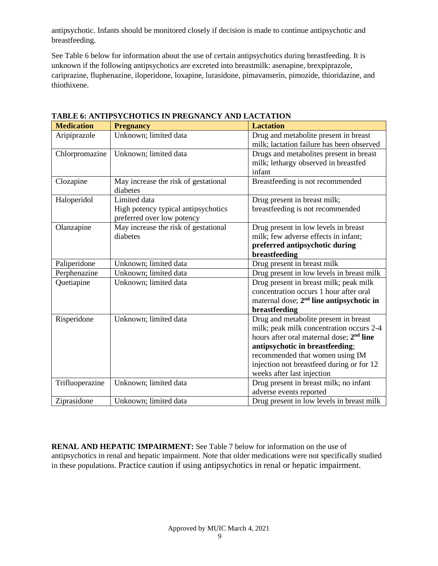antipsychotic. Infants should be monitored closely if decision is made to continue antipsychotic and breastfeeding.

See Table 6 below for information about the use of certain antipsychotics during breastfeeding. It is unknown if the following antipsychotics are excreted into breastmilk: asenapine, brexpiprazole, cariprazine, fluphenazine, iloperidone, loxapine, lurasidone, pimavanserin, pimozide, thioridazine, and thiothixene.

| <b>Medication</b> |                                      | <b>Lactation</b>                                     |
|-------------------|--------------------------------------|------------------------------------------------------|
|                   | <b>Pregnancy</b>                     |                                                      |
| Aripiprazole      | Unknown; limited data                | Drug and metabolite present in breast                |
|                   |                                      | milk; lactation failure has been observed            |
| Chlorpromazine    | Unknown; limited data                | Drugs and metabolites present in breast              |
|                   |                                      | milk; lethargy observed in breastfed                 |
|                   |                                      | infant                                               |
| Clozapine         | May increase the risk of gestational | Breastfeeding is not recommended                     |
|                   | diabetes                             |                                                      |
| Haloperidol       | Limited data                         | Drug present in breast milk;                         |
|                   | High potency typical antipsychotics  | breastfeeding is not recommended                     |
|                   | preferred over low potency           |                                                      |
| Olanzapine        | May increase the risk of gestational | Drug present in low levels in breast                 |
|                   | diabetes                             | milk; few adverse effects in infant;                 |
|                   |                                      | preferred antipsychotic during                       |
|                   |                                      | breastfeeding                                        |
| Paliperidone      | Unknown; limited data                | Drug present in breast milk                          |
| Perphenazine      | Unknown; limited data                | Drug present in low levels in breast milk            |
| Quetiapine        | Unknown; limited data                | Drug present in breast milk; peak milk               |
|                   |                                      | concentration occurs 1 hour after oral               |
|                   |                                      | maternal dose; 2 <sup>nd</sup> line antipsychotic in |
|                   |                                      | breastfeeding                                        |
| Risperidone       | Unknown; limited data                | Drug and metabolite present in breast                |
|                   |                                      | milk; peak milk concentration occurs 2-4             |
|                   |                                      | hours after oral maternal dose; 2 <sup>nd</sup> line |
|                   |                                      | antipsychotic in breastfeeding;                      |
|                   |                                      | recommended that women using IM                      |
|                   |                                      | injection not breastfeed during or for 12            |
|                   |                                      | weeks after last injection                           |
| Trifluoperazine   | Unknown; limited data                | Drug present in breast milk; no infant               |
|                   |                                      | adverse events reported                              |
| Ziprasidone       | Unknown; limited data                | Drug present in low levels in breast milk            |

**TABLE 6: ANTIPSYCHOTICS IN PREGNANCY AND LACTATION**

**RENAL AND HEPATIC IMPAIRMENT:** See Table 7 below for information on the use of antipsychotics in renal and hepatic impairment. Note that older medications were not specifically studied in these populations. Practice caution if using antipsychotics in renal or hepatic impairment.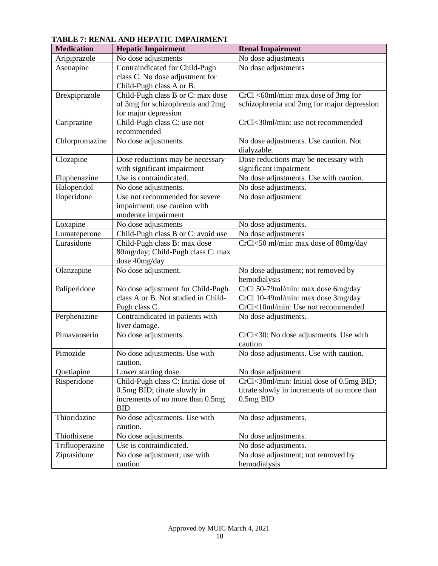| <b>Medication</b> | <b>Hepatic Impairment</b>                      | <b>Renal Impairment</b>                      |
|-------------------|------------------------------------------------|----------------------------------------------|
| Aripiprazole      | No dose adjustments                            | No dose adjustments                          |
| Asenapine         | Contraindicated for Child-Pugh                 | No dose adjustments                          |
|                   | class C. No dose adjustment for                |                                              |
|                   | Child-Pugh class A or B.                       |                                              |
| Brexpiprazole     | Child-Pugh class B or C: max dose              | CrCl <60ml/min: max dose of 3mg for          |
|                   | of 3mg for schizophrenia and 2mg               | schizophrenia and 2mg for major depression   |
|                   | for major depression                           |                                              |
| Cariprazine       | Child-Pugh class C: use not                    | CrCl<30ml/min: use not recommended           |
|                   | recommended                                    |                                              |
| Chlorpromazine    | No dose adjustments.                           | No dose adjustments. Use caution. Not        |
|                   |                                                | dialyzable.                                  |
| Clozapine         | Dose reductions may be necessary               | Dose reductions may be necessary with        |
|                   | with significant impairment                    | significant impairment                       |
| Fluphenazine      | Use is contraindicated.                        | No dose adjustments. Use with caution.       |
| Haloperidol       | No dose adjustments.                           | No dose adjustments.                         |
| Iloperidone       | Use not recommended for severe                 | No dose adjustment                           |
|                   | impairment; use caution with                   |                                              |
|                   | moderate impairment                            |                                              |
| Loxapine          | No dose adjustments                            | No dose adjustments.                         |
| Lumateperone      | Child-Pugh class B or C: avoid use             | No dose adjustments                          |
| Lurasidone        | Child-Pugh class B: max dose                   | CrCl<50 ml/min: max dose of 80mg/day         |
|                   | 80mg/day; Child-Pugh class C: max              |                                              |
|                   | dose 40mg/day                                  |                                              |
| Olanzapine        | No dose adjustment.                            | No dose adjustment; not removed by           |
|                   |                                                | hemodialysis                                 |
| Paliperidone      | No dose adjustment for Child-Pugh              | CrCl 50-79ml/min: max dose 6mg/day           |
|                   | class A or B. Not studied in Child-            | CrCl 10-49ml/min: max dose 3mg/day           |
|                   | Pugh class C.                                  | CrCl<10ml/min: Use not recommended           |
| Perphenazine      | Contraindicated in patients with               | No dose adjustments.                         |
|                   | liver damage.                                  |                                              |
| Pimavanserin      | No dose adjustments.                           | CrCl<30: No dose adjustments. Use with       |
| Pimozide          |                                                | caution                                      |
|                   | No dose adjustments. Use with                  | No dose adjustments. Use with caution.       |
|                   | caution.                                       |                                              |
| Quetiapine        | Lower starting dose.                           | No dose adjustment                           |
| Risperidone       | Child-Pugh class C: Initial dose of            | CrCl<30ml/min: Initial dose of 0.5mg BID;    |
|                   | 0.5mg BID; titrate slowly in                   | titrate slowly in increments of no more than |
|                   | increments of no more than 0.5mg<br><b>BID</b> | $0.5mg$ BID                                  |
| Thioridazine      | No dose adjustments. Use with                  | No dose adjustments.                         |
|                   | caution.                                       |                                              |
| Thiothixene       | No dose adjustments.                           | No dose adjustments.                         |
| Trifluoperazine   | Use is contraindicated.                        | No dose adjustments.                         |
| Ziprasidone       | No dose adjustment; use with                   | No dose adjustment; not removed by           |
|                   | caution                                        | hemodialysis                                 |

# **TABLE 7: RENAL AND HEPATIC IMPAIRMENT**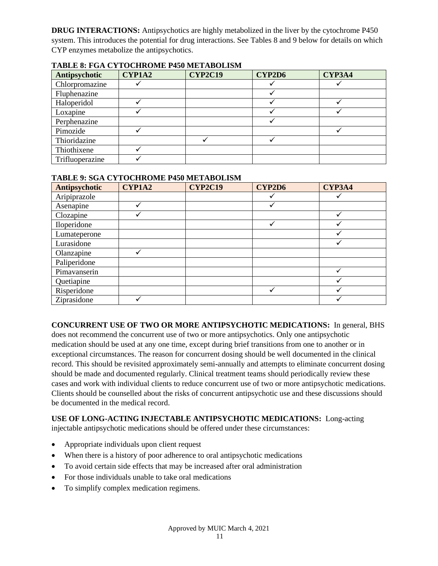**DRUG INTERACTIONS:** Antipsychotics are highly metabolized in the liver by the cytochrome P450 system. This introduces the potential for drug interactions. See Tables 8 and 9 below for details on which CYP enzymes metabolize the antipsychotics.

| Antipsychotic   | CYP1A2 | <b>CYP2C19</b> | CYP2D6 | CYP3A4 |
|-----------------|--------|----------------|--------|--------|
| Chlorpromazine  |        |                |        |        |
| Fluphenazine    |        |                |        |        |
| Haloperidol     |        |                |        |        |
| Loxapine        |        |                |        |        |
| Perphenazine    |        |                |        |        |
| Pimozide        |        |                |        |        |
| Thioridazine    |        |                |        |        |
| Thiothixene     |        |                |        |        |
| Trifluoperazine |        |                |        |        |

### **TABLE 8: FGA CYTOCHROME P450 METABOLISM**

## **TABLE 9: SGA CYTOCHROME P450 METABOLISM**

| Antipsychotic | <b>CYP1A2</b> | <b>CYP2C19</b> | CYP2D6 | CYP3A4 |
|---------------|---------------|----------------|--------|--------|
| Aripiprazole  |               |                |        |        |
| Asenapine     |               |                |        |        |
| Clozapine     |               |                |        |        |
| Iloperidone   |               |                |        | ✓      |
| Lumateperone  |               |                |        |        |
| Lurasidone    |               |                |        |        |
| Olanzapine    |               |                |        |        |
| Paliperidone  |               |                |        |        |
| Pimavanserin  |               |                |        |        |
| Quetiapine    |               |                |        |        |
| Risperidone   |               |                |        |        |
| Ziprasidone   |               |                |        |        |

# **CONCURRENT USE OF TWO OR MORE ANTIPSYCHOTIC MEDICATIONS:** In general, BHS

does not recommend the concurrent use of two or more antipsychotics. Only one antipsychotic medication should be used at any one time, except during brief transitions from one to another or in exceptional circumstances. The reason for concurrent dosing should be well documented in the clinical record. This should be revisited approximately semi-annually and attempts to eliminate concurrent dosing should be made and documented regularly. Clinical treatment teams should periodically review these cases and work with individual clients to reduce concurrent use of two or more antipsychotic medications. Clients should be counselled about the risks of concurrent antipsychotic use and these discussions should be documented in the medical record.

# **USE OF LONG-ACTING INJECTABLE ANTIPSYCHOTIC MEDICATIONS:** Long-acting

injectable antipsychotic medications should be offered under these circumstances:

- Appropriate individuals upon client request
- When there is a history of poor adherence to oral antipsychotic medications
- To avoid certain side effects that may be increased after oral administration
- For those individuals unable to take oral medications
- To simplify complex medication regimens.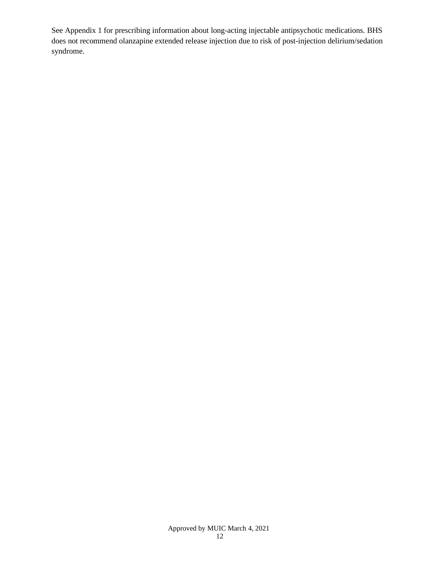See Appendix 1 for prescribing information about long-acting injectable antipsychotic medications. BHS does not recommend olanzapine extended release injection due to risk of post-injection delirium/sedation syndrome.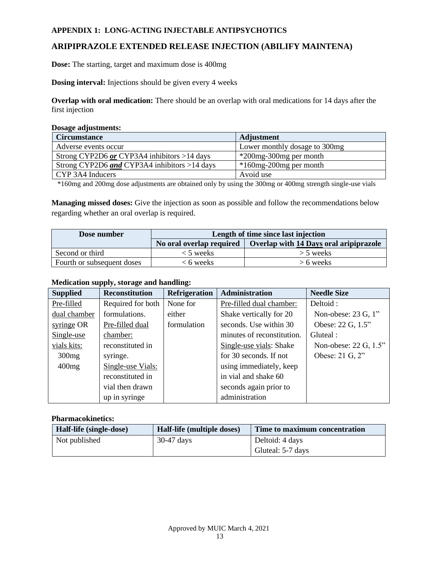## **APPENDIX 1: LONG-ACTING INJECTABLE ANTIPSYCHOTICS**

# **ARIPIPRAZOLE EXTENDED RELEASE INJECTION (ABILIFY MAINTENA)**

**Dose:** The starting, target and maximum dose is 400mg

**Dosing interval:** Injections should be given every 4 weeks

**Overlap with oral medication:** There should be an overlap with oral medications for 14 days after the first injection

#### **Dosage adjustments:**

| <b>Circumstance</b>                          | <b>Adjustment</b>             |
|----------------------------------------------|-------------------------------|
| Adverse events occur                         | Lower monthly dosage to 300mg |
| Strong CYP2D6 or CYP3A4 inhibitors >14 days  | *200mg-300mg per month        |
| Strong CYP2D6 and CYP3A4 inhibitors >14 days | $*160$ mg-200 mg per month    |
| CYP 3A4 Inducers                             | Avoid use                     |

\*160mg and 200mg dose adjustments are obtained only by using the 300mg or 400mg strength single-use vials

**Managing missed doses:** Give the injection as soon as possible and follow the recommendations below regarding whether an oral overlap is required.

| Dose number                | Length of time since last injection |                                                                   |  |
|----------------------------|-------------------------------------|-------------------------------------------------------------------|--|
|                            |                                     | No oral overlap required   Overlap with 14 Days oral aripiprazole |  |
| Second or third            | $<$ 5 weeks                         | $>$ 5 weeks                                                       |  |
| Fourth or subsequent doses | < 6 weeks                           | $> 6$ weeks                                                       |  |

### **Medication supply, storage and handling:**

| <b>Supplied</b> | <b>Reconstitution</b> | <b>Refrigeration</b> | Administration             | <b>Needle Size</b>    |
|-----------------|-----------------------|----------------------|----------------------------|-----------------------|
| Pre-filled      | Required for both     | None for             | Pre-filled dual chamber:   | Deltoid:              |
| dual chamber    | formulations.         | either               | Shake vertically for 20    | Non-obese: 23 G, 1"   |
| syringe OR      | Pre-filled dual       | formulation          | seconds. Use within 30     | Obese: 22 G, 1.5"     |
| Single-use      | chamber:              |                      | minutes of reconstitution. | Gluteal:              |
| vials kits:     | reconstituted in      |                      | Single-use vials: Shake    | Non-obese: 22 G, 1.5" |
| 300mg           | syringe.              |                      | for 30 seconds. If not     | Obese: 21 G, 2"       |
| 400mg           | Single-use Vials:     |                      | using immediately, keep    |                       |
|                 | reconstituted in      |                      | in vial and shake 60       |                       |
|                 | vial then drawn       |                      | seconds again prior to     |                       |
|                 | up in syringe         |                      | administration             |                       |

| Half-life (single-dose) | Half-life (multiple doses) | Time to maximum concentration |
|-------------------------|----------------------------|-------------------------------|
| Not published           | $30-47$ days               | Deltoid: 4 days               |
|                         |                            | Gluteal: 5-7 days             |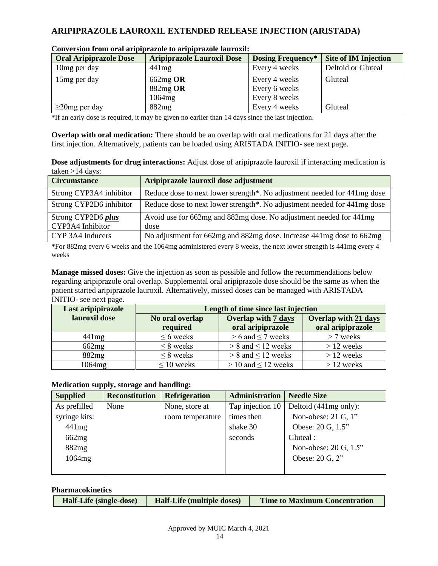# **ARIPIPRAZOLE LAUROXIL EXTENDED RELEASE INJECTION (ARISTADA)**

| <b>Oral Aripiprazole Dose</b> | <b>Aripiprazole Lauroxil Dose</b> | <b>Dosing Frequency*</b> | <b>Site of IM Injection</b> |
|-------------------------------|-----------------------------------|--------------------------|-----------------------------|
| 10 mg per day                 | 441mg                             | Every 4 weeks            | Deltoid or Gluteal          |
| 15 <sub>mg</sub> per day      | $662mg$ OR                        | Every 4 weeks            | <b>Gluteal</b>              |
|                               | 882mg OR                          | Every 6 weeks            |                             |
|                               | 1064mg                            | Every 8 weeks            |                             |
| $\geq$ 20mg per day           | 882mg                             | Every 4 weeks            | Gluteal                     |

| Conversion from oral aripiprazole to aripiprazole lauroxil: |
|-------------------------------------------------------------|
|-------------------------------------------------------------|

\*If an early dose is required, it may be given no earlier than 14 days since the last injection.

**Overlap with oral medication:** There should be an overlap with oral medications for 21 days after the first injection. Alternatively, patients can be loaded using ARISTADA INITIO- see next page.

| Dose adjustments for drug interactions: Adjust dose of aripiprazole lauroxil if interacting medication is |  |  |
|-----------------------------------------------------------------------------------------------------------|--|--|
| taken $>14$ days:                                                                                         |  |  |

| <b>Circumstance</b>     | Aripiprazole lauroxil dose adjustment                                    |
|-------------------------|--------------------------------------------------------------------------|
| Strong CYP3A4 inhibitor | Reduce dose to next lower strength*. No adjustment needed for 441mg dose |
| Strong CYP2D6 inhibitor | Reduce dose to next lower strength*. No adjustment needed for 441mg dose |
| Strong CYP2D6 plus      | Avoid use for 662mg and 882mg dose. No adjustment needed for 441mg       |
| CYP3A4 Inhibitor        | dose                                                                     |
| CYP 3A4 Inducers        | No adjustment for 662mg and 882mg dose. Increase 441mg dose to 662mg     |

**\***For 882mg every 6 weeks and the 1064mg administered every 8 weeks, the next lower strength is 441mg every 4 weeks

**Manage missed doses:** Give the injection as soon as possible and follow the recommendations below regarding aripiprazole oral overlap. Supplemental oral aripiprazole dose should be the same as when the patient started aripiprazole lauroxil. Alternatively, missed doses can be managed with ARISTADA INITIO- see next page.

| Last aripipirazole | Length of time since last injection |                            |                             |  |  |
|--------------------|-------------------------------------|----------------------------|-----------------------------|--|--|
| lauroxil dose      | No oral overlap                     | <b>Overlap with 7 days</b> | <b>Overlap with 21 days</b> |  |  |
|                    | required                            | oral aripiprazole          | oral aripiprazole           |  |  |
| 441mg              | $\leq 6$ weeks                      | $> 6$ and $\leq 7$ weeks   | $> 7$ weeks                 |  |  |
| 662mg              | $\leq$ 8 weeks                      | $> 8$ and $\leq 12$ weeks  | $>12$ weeks                 |  |  |
| 882mg              | $\leq$ 8 weeks                      | $> 8$ and $\leq 12$ weeks  | $>12$ weeks                 |  |  |
| 1064 <sub>mg</sub> | $\leq 10$ weeks                     | $> 10$ and $\leq 12$ weeks | $>12$ weeks                 |  |  |

# **Medication supply, storage and handling:**

| <b>Supplied</b> | <b>Reconstitution</b> | <b>Refrigeration</b> | <b>Administration</b> | <b>Needle Size</b>                |
|-----------------|-----------------------|----------------------|-----------------------|-----------------------------------|
| As prefilled    | None                  | None, store at       | Tap injection 10      | Deltoid (441mg only):             |
| syringe kits:   |                       | room temperature     | times then            | Non-obese: $21 \text{ G}$ , $1$ " |
| 441mg           |                       |                      | shake 30              | Obese: 20 G, 1.5"                 |
| 662mg           |                       |                      | seconds               | Gluteal :                         |
| 882mg           |                       |                      |                       | Non-obese: 20 G, 1.5"             |
| 1064mg          |                       |                      |                       | Obese: 20 G, 2"                   |
|                 |                       |                      |                       |                                   |

| <b>Pharmacokinetics</b> |                         |                                   |                                      |
|-------------------------|-------------------------|-----------------------------------|--------------------------------------|
|                         | Half-Life (single-dose) | <b>Half-Life (multiple doses)</b> | <b>Time to Maximum Concentration</b> |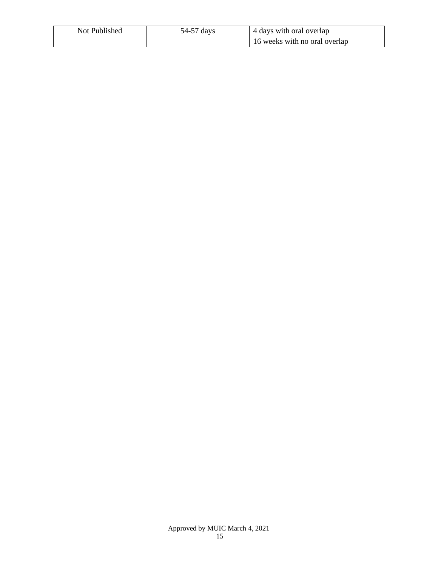| Not Published | 54-57 days | 4 days with oral overlap      |
|---------------|------------|-------------------------------|
|               |            | 16 weeks with no oral overlap |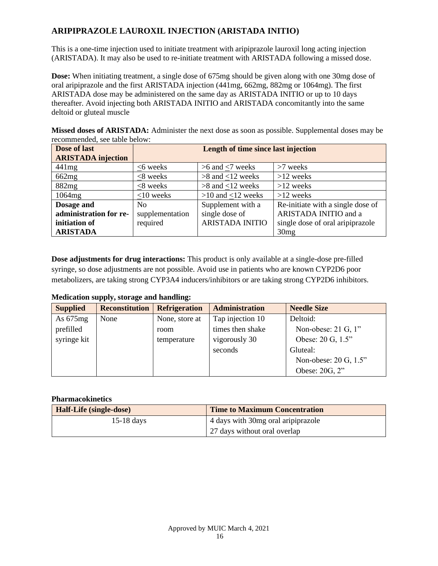# **ARIPIPRAZOLE LAUROXIL INJECTION (ARISTADA INITIO)**

This is a one-time injection used to initiate treatment with aripiprazole lauroxil long acting injection (ARISTADA). It may also be used to re-initiate treatment with ARISTADA following a missed dose.

**Dose:** When initiating treatment, a single dose of 675mg should be given along with one 30mg dose of oral aripiprazole and the first ARISTADA injection (441mg, 662mg, 882mg or 1064mg). The first ARISTADA dose may be administered on the same day as ARISTADA INITIO or up to 10 days thereafter. Avoid injecting both ARISTADA INITIO and ARISTADA concomitantly into the same deltoid or gluteal muscle

**Missed doses of ARISTADA:** Administer the next dose as soon as possible. Supplemental doses may be recommended, see table below:

| Dose of last              |                 | Length of time since last injection |                                   |
|---------------------------|-----------------|-------------------------------------|-----------------------------------|
| <b>ARISTADA</b> injection |                 |                                     |                                   |
| 441mg                     | $<6$ weeks      | $>6$ and $<7$ weeks                 | $>7$ weeks                        |
| 662mg                     | $<$ 8 weeks     | $>8$ and $<12$ weeks                | $>12$ weeks                       |
| 882mg                     | $<$ 8 weeks     | $>8$ and $<12$ weeks                | $>12$ weeks                       |
| 1064mg                    | $<$ 10 weeks    | $>10$ and $<12$ weeks               | $>12$ weeks                       |
| Dosage and                | N <sub>0</sub>  | Supplement with a                   | Re-initiate with a single dose of |
| administration for re-    | supplementation | single dose of                      | ARISTADA INITIO and a             |
| initiation of             | required        | <b>ARISTADA INITIO</b>              | single dose of oral aripiprazole  |
| <b>ARISTADA</b>           |                 |                                     | 30mg                              |

**Dose adjustments for drug interactions:** This product is only available at a single-dose pre-filled syringe, so dose adjustments are not possible. Avoid use in patients who are known CYP2D6 poor metabolizers, are taking strong CYP3A4 inducers/inhibitors or are taking strong CYP2D6 inhibitors.

# **Medication supply, storage and handling:**

| <b>Supplied</b> | <b>Reconstitution</b> | <b>Refrigeration</b> | <b>Administration</b> | <b>Needle Size</b>                |
|-----------------|-----------------------|----------------------|-----------------------|-----------------------------------|
| As $675mg$      | None                  | None, store at       | Tap injection 10      | Deltoid:                          |
| prefilled       |                       | room                 | times then shake      | Non-obese: $21 \text{ G}$ , $1$ " |
| syringe kit     |                       | temperature          | vigorously 30         | Obese: 20 G, 1.5"                 |
|                 |                       |                      | seconds               | Gluteal:                          |
|                 |                       |                      |                       | Non-obese: 20 G, 1.5"             |
|                 |                       |                      |                       | Obese: 20G, 2"                    |

| Half-Life (single-dose) | <b>Time to Maximum Concentration</b> |
|-------------------------|--------------------------------------|
| $15-18$ days            | 4 days with 30 mg oral aripiprazole  |
|                         | 27 days without oral overlap         |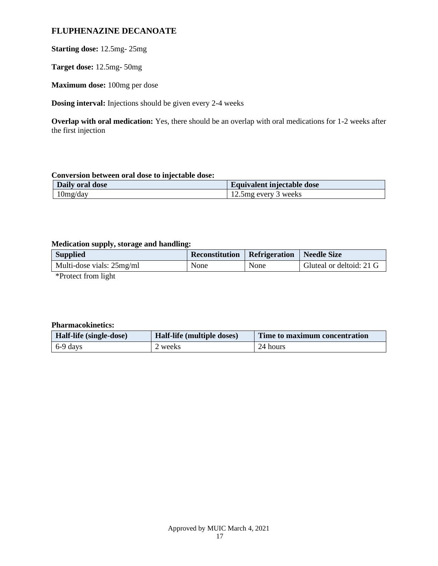# **FLUPHENAZINE DECANOATE**

# **Starting dose:** 12.5mg- 25mg

**Target dose:** 12.5mg- 50mg

**Maximum dose:** 100mg per dose

**Dosing interval:** Injections should be given every 2-4 weeks

**Overlap with oral medication:** Yes, there should be an overlap with oral medications for 1-2 weeks after the first injection

## **Conversion between oral dose to injectable dose:**

| Daily oral dose | Equivalent injectable dose |
|-----------------|----------------------------|
| 10mg/day        | 12.5 mg every 3 weeks      |

## **Medication supply, storage and handling:**

| <b>Supplied</b>           | Reconstitution   Refrigeration   Needle Size |      |                          |
|---------------------------|----------------------------------------------|------|--------------------------|
| Multi-dose vials: 25mg/ml | None                                         | None | Gluteal or deltoid: 21 G |
|                           |                                              |      |                          |

\*Protect from light

| Half-life (single-dose) | Half-life (multiple doses) | Time to maximum concentration |
|-------------------------|----------------------------|-------------------------------|
| $6-9$ days              | l weeks                    | 24 hours                      |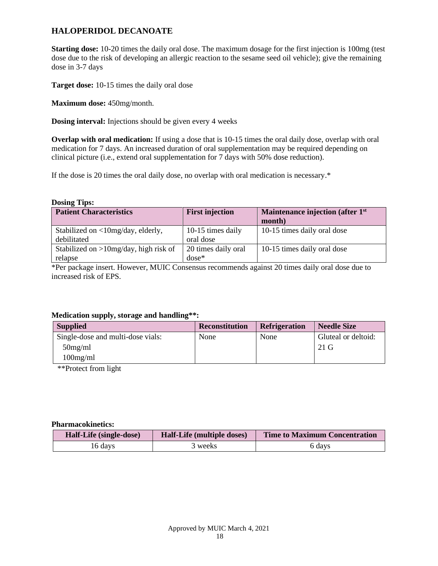# **HALOPERIDOL DECANOATE**

**Starting dose:** 10-20 times the daily oral dose. The maximum dosage for the first injection is 100mg (test dose due to the risk of developing an allergic reaction to the sesame seed oil vehicle); give the remaining dose in 3-7 days

**Target dose:** 10-15 times the daily oral dose

**Maximum dose:** 450mg/month.

**Dosing interval:** Injections should be given every 4 weeks

**Overlap with oral medication:** If using a dose that is 10-15 times the oral daily dose, overlap with oral medication for 7 days. An increased duration of oral supplementation may be required depending on clinical picture (i.e., extend oral supplementation for 7 days with 50% dose reduction).

If the dose is 20 times the oral daily dose, no overlap with oral medication is necessary.\*

**Dosing Tips:**

| <b>Patient Characteristics</b>                      | <b>First injection</b>         | Maintenance injection (after 1 <sup>st</sup><br>month) |
|-----------------------------------------------------|--------------------------------|--------------------------------------------------------|
| Stabilized on <10mg/day, elderly,<br>debilitated    | 10-15 times daily<br>oral dose | 10-15 times daily oral dose                            |
| Stabilized on $>10$ mg/day, high risk of<br>relapse | 20 times daily oral<br>dose*   | 10-15 times daily oral dose                            |

\*Per package insert. However, MUIC Consensus recommends against 20 times daily oral dose due to increased risk of EPS.

### **Medication supply, storage and handling\*\*:**

| <b>Supplied</b>                   | <b>Reconstitution</b> | <b>Refrigeration</b> | <b>Needle Size</b>  |
|-----------------------------------|-----------------------|----------------------|---------------------|
| Single-dose and multi-dose vials: | None                  | None                 | Gluteal or deltoid: |
| $50$ mg/ml                        |                       |                      | 21 G                |
| $100$ mg/ml                       |                       |                      |                     |

\*\*Protect from light

| Half-Life (single-dose) | Half-Life (multiple doses) | <b>Time to Maximum Concentration</b> |
|-------------------------|----------------------------|--------------------------------------|
| 16 days                 | 3 weeks                    | 6 days                               |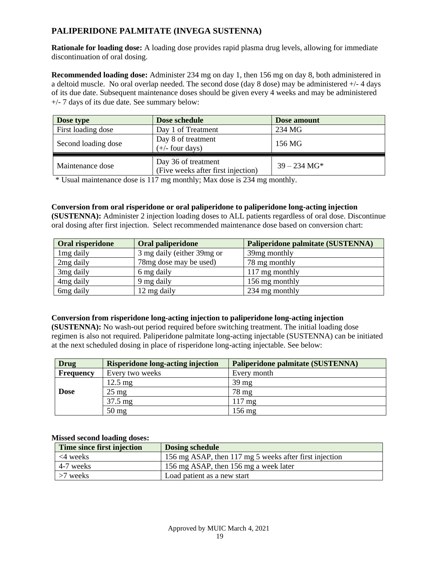# **PALIPERIDONE PALMITATE (INVEGA SUSTENNA)**

**Rationale for loading dose:** A loading dose provides rapid plasma drug levels, allowing for immediate discontinuation of oral dosing.

**Recommended loading dose:** Administer 234 mg on day 1, then 156 mg on day 8, both administered in a deltoid muscle. No oral overlap needed. The second dose (day 8 dose) may be administered +/- 4 days of its due date. Subsequent maintenance doses should be given every 4 weeks and may be administered +/- 7 days of its due date. See summary below:

| Dose type           | Dose schedule                                             | Dose amount    |
|---------------------|-----------------------------------------------------------|----------------|
| First loading dose  | Day 1 of Treatment                                        | 234 MG         |
| Second loading dose | Day 8 of treatment<br>$(+/-$ four days)                   | 156 MG         |
| Maintenance dose    | Day 36 of treatment<br>(Five weeks after first injection) | $39 - 234$ MG* |

\* Usual maintenance dose is 117 mg monthly; Max dose is 234 mg monthly.

## **Conversion from oral risperidone or oral paliperidone to paliperidone long-acting injection**

**(SUSTENNA):** Administer 2 injection loading doses to ALL patients regardless of oral dose. Discontinue oral dosing after first injection. Select recommended maintenance dose based on conversion chart:

| Oral risperidone      | Oral paliperidone          | Paliperidone palmitate (SUSTENNA) |
|-----------------------|----------------------------|-----------------------------------|
| 1 <sub>mg</sub> daily | 3 mg daily (either 39mg or | 39 <sub>mg</sub> monthly          |
| 2 <sub>mg</sub> daily | 78mg dose may be used)     | 78 mg monthly                     |
| 3 <sub>mg</sub> daily | 6 mg daily                 | 117 mg monthly                    |
| 4 <sub>mg</sub> daily | 9 mg daily                 | 156 mg monthly                    |
| 6 <sub>mg</sub> daily | 12 mg daily                | 234 mg monthly                    |

# **Conversion from risperidone long-acting injection to paliperidone long-acting injection**

**(SUSTENNA):** No wash-out period required before switching treatment. The initial loading dose regimen is also not required. Paliperidone palmitate long-acting injectable (SUSTENNA) can be initiated at the next scheduled dosing in place of risperidone long-acting injectable. See below:

| <b>Drug</b> | <b>Risperidone long-acting injection</b> | Paliperidone palmitate (SUSTENNA) |
|-------------|------------------------------------------|-----------------------------------|
| Frequency   | Every two weeks                          | Every month                       |
|             | $12.5 \text{ mg}$                        | $39 \text{ mg}$                   |
| <b>Dose</b> | $25 \text{ mg}$                          | 78 mg                             |
|             | 37.5 mg                                  | $117 \text{ mg}$                  |
|             | $50 \text{ mg}$                          | 156 mg                            |

#### **Missed second loading doses:**

| Time since first injection | <b>Dosing schedule</b>                                 |
|----------------------------|--------------------------------------------------------|
| $\leq$ 4 weeks             | 156 mg ASAP, then 117 mg 5 weeks after first injection |
| 4-7 weeks                  | 156 mg ASAP, then 156 mg a week later                  |
| $>7$ weeks                 | Load patient as a new start                            |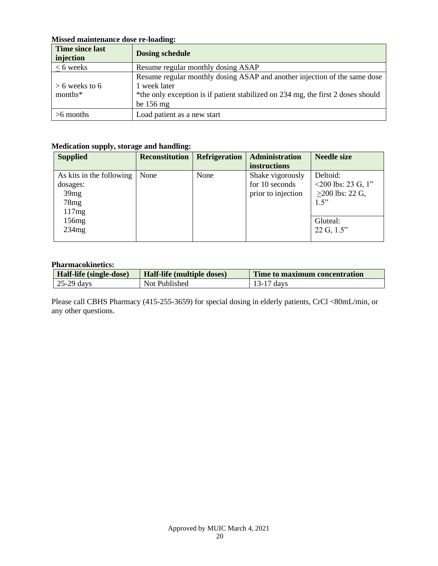# **Missed maintenance dose re-loading:**

| Time since last<br>injection | <b>Dosing schedule</b>                                                           |
|------------------------------|----------------------------------------------------------------------------------|
| $<$ 6 weeks                  | Resume regular monthly dosing ASAP                                               |
|                              | Resume regular monthly dosing ASAP and another injection of the same dose        |
| $> 6$ weeks to 6             | 1 week later                                                                     |
| months*                      | *the only exception is if patient stabilized on 234 mg, the first 2 doses should |
|                              | be $156 \text{ mg}$                                                              |
| $>6$ months                  | Load patient as a new start                                                      |

# **Medication supply, storage and handling:**

| <b>Supplied</b>          | <b>Reconstitution</b> | <b>Refrigeration</b> | <b>Administration</b> | <b>Needle size</b>       |
|--------------------------|-----------------------|----------------------|-----------------------|--------------------------|
|                          |                       |                      | instructions          |                          |
| As kits in the following | None                  | None                 | Shake vigorously      | Deltoid:                 |
| dosages:                 |                       |                      | for 10 seconds        | $\leq$ 200 lbs: 23 G, 1" |
| 39mg                     |                       |                      | prior to injection    | $>200$ lbs: 22 G,        |
| 78mg                     |                       |                      |                       | 1.5"                     |
| 117mg                    |                       |                      |                       |                          |
| 156mg                    |                       |                      |                       | Gluteal:                 |
| 234mg                    |                       |                      |                       | $22 \text{ G}, 1.5$ "    |
|                          |                       |                      |                       |                          |

### **Pharmacokinetics:**

| Half-life (single-dose) | Half-life (multiple doses) | Time to maximum concentration |
|-------------------------|----------------------------|-------------------------------|
| 25-29 days              | Not Published              | $13-17$ days                  |

Please call CBHS Pharmacy (415-255-3659) for special dosing in elderly patients, CrCl <80mL/min, or any other questions.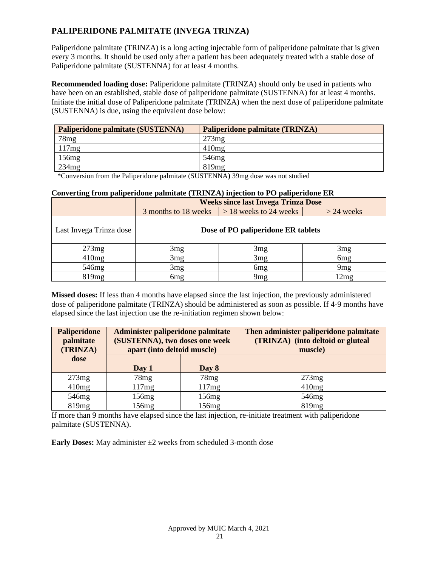# **PALIPERIDONE PALMITATE (INVEGA TRINZA)**

Paliperidone palmitate (TRINZA) is a long acting injectable form of paliperidone palmitate that is given every 3 months. It should be used only after a patient has been adequately treated with a stable dose of Paliperidone palmitate (SUSTENNA) for at least 4 months.

**Recommended loading dose:** Paliperidone palmitate (TRINZA) should only be used in patients who have been on an established, stable dose of paliperidone palmitate (SUSTENNA) for at least 4 months. Initiate the initial dose of Paliperidone palmitate (TRINZA) when the next dose of paliperidone palmitate (SUSTENNA) is due, using the equivalent dose below:

| Paliperidone palmitate (SUSTENNA) | Paliperidone palmitate (TRINZA) |
|-----------------------------------|---------------------------------|
| 78mg                              | 273mg                           |
| 117mg                             | 410mg                           |
| 156mg                             | $546$ mg                        |
| 234mg                             | $819$ mg                        |

\*Conversion from the Paliperidone palmitate (SUSTENNA**)** 39mg dose was not studied

## **Converting from paliperidone palmitate (TRINZA) injection to PO paliperidone ER**

|                         | <b>Weeks since last Invega Trinza Dose</b> |                          |                 |  |
|-------------------------|--------------------------------------------|--------------------------|-----------------|--|
|                         | 3 months to 18 weeks                       | $> 18$ weeks to 24 weeks | $>$ 24 weeks    |  |
| Last Invega Trinza dose | Dose of PO paliperidone ER tablets         |                          |                 |  |
| 273mg                   | 3mg                                        | 3mg                      | 3mg             |  |
| 410mg                   | 3mg                                        | 3mg                      | 6 <sub>mg</sub> |  |
| 546mg                   | 3mg                                        | 6 <sub>mg</sub>          | 9 <sub>mg</sub> |  |
| 819mg                   | 6 <sub>mg</sub>                            | 9 <sub>mg</sub>          | 12mg            |  |

**Missed doses:** If less than 4 months have elapsed since the last injection, the previously administered dose of paliperidone palmitate (TRINZA) should be administered as soon as possible. If 4-9 months have elapsed since the last injection use the re-initiation regimen shown below:

| <b>Paliperidone</b><br>palmitate<br>(TRINZA) | Administer paliperidone palmitate<br>(SUSTENNA), two doses one week<br>apart (into deltoid muscle) |       | Then administer paliperidone palmitate<br>(TRINZA) (into deltoid or gluteal<br>muscle) |
|----------------------------------------------|----------------------------------------------------------------------------------------------------|-------|----------------------------------------------------------------------------------------|
| dose                                         | Day 1                                                                                              | Day 8 |                                                                                        |
| 273mg                                        | 78mg                                                                                               | 78mg  | 273mg                                                                                  |
| 410mg                                        | 117mg                                                                                              | 117mg | 410mg                                                                                  |
| 546mg                                        | 156mg                                                                                              | 156mg | 546mg                                                                                  |
| 819mg                                        | 156mg                                                                                              | 156mg | 819 <sub>mg</sub>                                                                      |

If more than 9 months have elapsed since the last injection, re-initiate treatment with paliperidone palmitate (SUSTENNA).

**Early Doses:** May administer  $\pm 2$  weeks from scheduled 3-month dose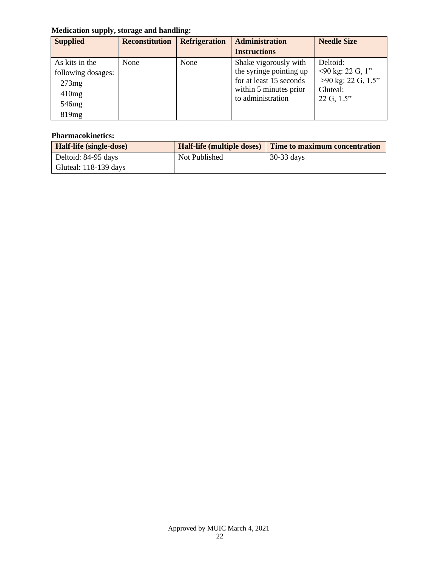# **Medication supply, storage and handling:**

| <b>Supplied</b>    | <b>Reconstitution</b> | <b>Refrigeration</b> | <b>Administration</b>   | <b>Needle Size</b>            |
|--------------------|-----------------------|----------------------|-------------------------|-------------------------------|
|                    |                       |                      | <b>Instructions</b>     |                               |
| As kits in the     | None                  | None                 | Shake vigorously with   | Deltoid:                      |
| following dosages: |                       |                      | the syringe pointing up | $\leq$ 90 kg: 22 G, 1"        |
| 273mg              |                       |                      | for at least 15 seconds | $>90 \text{ kg}$ : 22 G, 1.5" |
| 410mg              |                       |                      | within 5 minutes prior  | Gluteal:                      |
| 546 <sub>mg</sub>  |                       |                      | to administration       | 22 G, 1.5"                    |
| 819 <sub>mg</sub>  |                       |                      |                         |                               |

| Half-life (single-dose) | <b>Half-life (multiple doses)</b> | Time to maximum concentration |
|-------------------------|-----------------------------------|-------------------------------|
| Deltoid: 84-95 days     | Not Published                     | $30-33$ days                  |
| Gluteal: $118-139$ days |                                   |                               |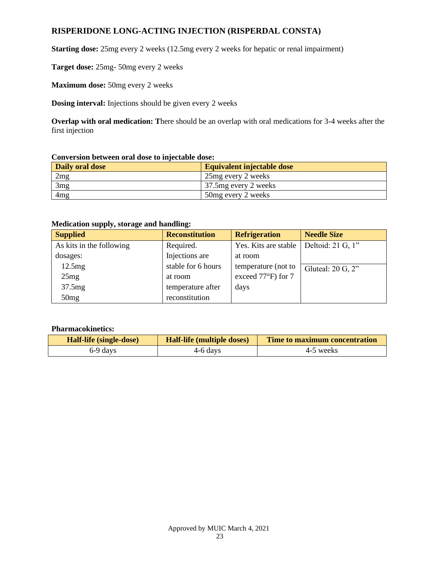# **RISPERIDONE LONG-ACTING INJECTION (RISPERDAL CONSTA)**

**Starting dose:** 25mg every 2 weeks (12.5mg every 2 weeks for hepatic or renal impairment)

**Target dose:** 25mg- 50mg every 2 weeks

**Maximum dose:** 50mg every 2 weeks

**Dosing interval:** Injections should be given every 2 weeks

**Overlap with oral medication: T**here should be an overlap with oral medications for 3-4 weeks after the first injection

### **Conversion between oral dose to injectable dose:**

| <b>Daily oral dose</b> | Equivalent injectable dose |
|------------------------|----------------------------|
| 2mg                    | 25 age over 2 weeks        |
| 3mg                    | 37.5 mg every 2 weeks      |
| 4 <sub>mg</sub>        | 50mg every 2 weeks         |

## **Medication supply, storage and handling:**

| <b>Supplied</b>          | <b>Reconstitution</b> | <b>Refrigeration</b> | <b>Needle Size</b>  |
|--------------------------|-----------------------|----------------------|---------------------|
| As kits in the following | Required.             | Yes. Kits are stable | Deltoid: 21 G, 1"   |
| dosages:                 | Injections are        | at room              |                     |
| 12.5mg                   | stable for 6 hours    | temperature (not to  | Gluteal: $20 G, 2"$ |
| 25mg                     | at room               | exceed 77°F) for 7   |                     |
| 37.5mg                   | temperature after     | days                 |                     |
| 50mg                     | reconstitution        |                      |                     |

| <b>Half-life (single-dose)</b> | <b>Half-life (multiple doses)</b> | Time to maximum concentration |
|--------------------------------|-----------------------------------|-------------------------------|
| 6-9 days                       | 4-6 days                          | 4-5 weeks                     |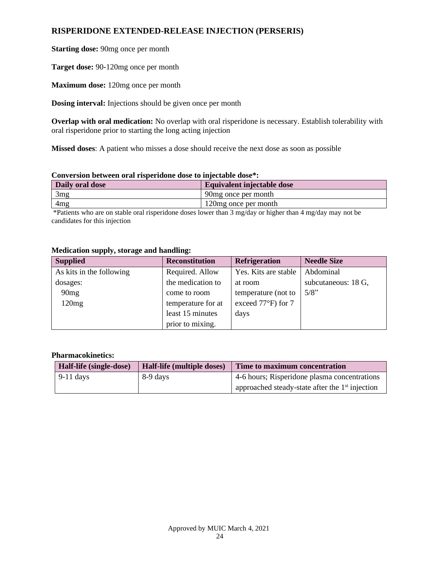# **RISPERIDONE EXTENDED-RELEASE INJECTION (PERSERIS)**

**Starting dose:** 90mg once per month

**Target dose:** 90-120mg once per month

**Maximum dose:** 120mg once per month

**Dosing interval:** Injections should be given once per month

**Overlap with oral medication:** No overlap with oral risperidone is necessary. Establish tolerability with oral risperidone prior to starting the long acting injection

**Missed doses**: A patient who misses a dose should receive the next dose as soon as possible

### **Conversion between oral risperidone dose to injectable dose\*:**

| Daily oral dose | Equivalent injectable dose |
|-----------------|----------------------------|
| 3mg             | 90 mg once per month       |
| 4mg             | 120mg once per month       |
|                 |                            |

\*Patients who are on stable oral risperidone doses lower than 3 mg/day or higher than 4 mg/day may not be candidates for this injection

| <b>Supplied</b>          | <b>Reconstitution</b> | <b>Refrigeration</b> | <b>Needle Size</b>  |
|--------------------------|-----------------------|----------------------|---------------------|
| As kits in the following | Required. Allow       | Yes. Kits are stable | Abdominal           |
| dosages:                 | the medication to     | at room              | subcutaneous: 18 G, |
| 90mg                     | come to room          | temperature (not to  | 5/8"                |
| 120mg                    | temperature for at    | exceed 77°F) for 7   |                     |
|                          | least 15 minutes      | days                 |                     |
|                          | prior to mixing.      |                      |                     |

### **Medication supply, storage and handling:**

| Half-life (single-dose)<br>Half-life (multiple doses) |          | Time to maximum concentration                               |  |  |
|-------------------------------------------------------|----------|-------------------------------------------------------------|--|--|
| $9-11$ days                                           | 8-9 days | 4-6 hours; Risperidone plasma concentrations                |  |  |
|                                                       |          | approached steady-state after the 1 <sup>st</sup> injection |  |  |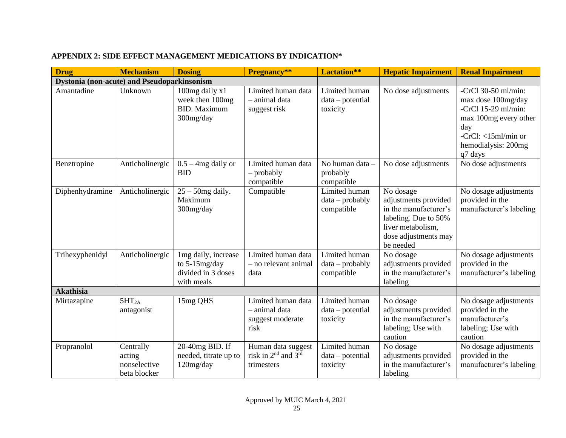| <b>Drug</b>                                        | <b>Mechanism</b>                                    | <b>Dosing</b>                                                            | Pregnancy**                                                                     | Lactation**                                      | <b>Hepatic Impairment</b>                                                                                                                    | <b>Renal Impairment</b>                                                                                                                                          |
|----------------------------------------------------|-----------------------------------------------------|--------------------------------------------------------------------------|---------------------------------------------------------------------------------|--------------------------------------------------|----------------------------------------------------------------------------------------------------------------------------------------------|------------------------------------------------------------------------------------------------------------------------------------------------------------------|
| <b>Dystonia (non-acute) and Pseudoparkinsonism</b> |                                                     |                                                                          |                                                                                 |                                                  |                                                                                                                                              |                                                                                                                                                                  |
| Amantadine                                         | Unknown                                             | 100mg daily x1<br>week then 100mg<br><b>BID.</b> Maximum<br>300mg/day    | Limited human data<br>- animal data<br>suggest risk                             | Limited human<br>$data - potential$<br>toxicity  | No dose adjustments                                                                                                                          | -CrCl $30-50$ ml/min:<br>max dose 100mg/day<br>-CrCl $15-29$ ml/min:<br>max 100mg every other<br>day<br>-CrCl: $<$ 15ml/min or<br>hemodialysis: 200mg<br>q7 days |
| Benztropine                                        | Anticholinergic                                     | $0.5 - 4mg$ daily or<br><b>BID</b>                                       | Limited human data<br>$-$ probably<br>compatible                                | No human data -<br>probably<br>compatible        | No dose adjustments                                                                                                                          | No dose adjustments                                                                                                                                              |
| Diphenhydramine                                    | Anticholinergic                                     | $25 - 50$ mg daily.<br>Maximum<br>300mg/day                              | Compatible                                                                      | Limited human<br>$data - probably$<br>compatible | No dosage<br>adjustments provided<br>in the manufacturer's<br>labeling. Due to 50%<br>liver metabolism,<br>dose adjustments may<br>be needed | No dosage adjustments<br>provided in the<br>manufacturer's labeling                                                                                              |
| Trihexyphenidyl                                    | Anticholinergic                                     | 1mg daily, increase<br>to 5-15mg/day<br>divided in 3 doses<br>with meals | Limited human data<br>- no relevant animal<br>data                              | Limited human<br>$data - probably$<br>compatible | No dosage<br>adjustments provided<br>in the manufacturer's<br>labeling                                                                       | No dosage adjustments<br>provided in the<br>manufacturer's labeling                                                                                              |
| <b>Akathisia</b>                                   |                                                     |                                                                          |                                                                                 |                                                  |                                                                                                                                              |                                                                                                                                                                  |
| Mirtazapine                                        | 5HT <sub>2A</sub><br>antagonist                     | 15mg QHS                                                                 | Limited human data<br>- animal data<br>suggest moderate<br>risk                 | Limited human<br>$data - potential$<br>toxicity  | No dosage<br>adjustments provided<br>in the manufacturer's<br>labeling; Use with<br>caution                                                  | No dosage adjustments<br>provided in the<br>manufacturer's<br>labeling; Use with<br>caution                                                                      |
| Propranolol                                        | Centrally<br>acting<br>nonselective<br>beta blocker | 20-40mg BID. If<br>needed, titrate up to<br>120mg/day                    | Human data suggest<br>risk in 2 <sup>nd</sup> and 3 <sup>rd</sup><br>trimesters | Limited human<br>$data - potential$<br>toxicity  | No dosage<br>adjustments provided<br>in the manufacturer's<br>labeling                                                                       | No dosage adjustments<br>provided in the<br>manufacturer's labeling                                                                                              |

# **APPENDIX 2: SIDE EFFECT MANAGEMENT MEDICATIONS BY INDICATION\***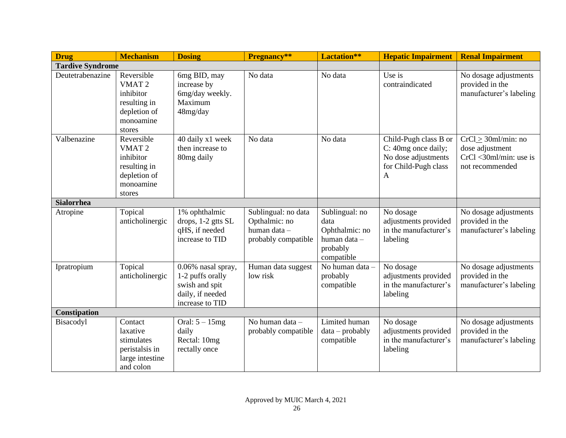| <b>Drug</b>             | <b>Mechanism</b>                                                                                    | <b>Dosing</b>                                                                                   | Pregnancy**                                                                 | Lactation**                                                                        | <b>Hepatic Impairment</b>                                                                        | <b>Renal Impairment</b>                                                                    |
|-------------------------|-----------------------------------------------------------------------------------------------------|-------------------------------------------------------------------------------------------------|-----------------------------------------------------------------------------|------------------------------------------------------------------------------------|--------------------------------------------------------------------------------------------------|--------------------------------------------------------------------------------------------|
| <b>Tardive Syndrome</b> |                                                                                                     |                                                                                                 |                                                                             |                                                                                    |                                                                                                  |                                                                                            |
| Deutetrabenazine        | Reversible<br>VMAT <sub>2</sub><br>inhibitor<br>resulting in<br>depletion of<br>monoamine<br>stores | 6mg BID, may<br>increase by<br>6mg/day weekly.<br>Maximum<br>48mg/day                           | No data                                                                     | No data                                                                            | Use is<br>contraindicated                                                                        | No dosage adjustments<br>provided in the<br>manufacturer's labeling                        |
| Valbenazine             | Reversible<br>VMAT <sub>2</sub><br>inhibitor<br>resulting in<br>depletion of<br>monoamine<br>stores | 40 daily x1 week<br>then increase to<br>80mg daily                                              | No data                                                                     | No data                                                                            | Child-Pugh class B or<br>C: 40mg once daily;<br>No dose adjustments<br>for Child-Pugh class<br>A | $CrCl > 30$ ml/min: no<br>dose adjustment<br>$CrCl < 30ml/min$ : use is<br>not recommended |
| <b>Sialorrhea</b>       |                                                                                                     |                                                                                                 |                                                                             |                                                                                    |                                                                                                  |                                                                                            |
| Atropine                | Topical<br>anticholinergic                                                                          | 1% ophthalmic<br>drops, 1-2 gtts SL<br>qHS, if needed<br>increase to TID                        | Sublingual: no data<br>Opthalmic: no<br>human data -<br>probably compatible | Sublingual: no<br>data<br>Ophthalmic: no<br>human data -<br>probably<br>compatible | No dosage<br>adjustments provided<br>in the manufacturer's<br>labeling                           | No dosage adjustments<br>provided in the<br>manufacturer's labeling                        |
| Ipratropium             | Topical<br>anticholinergic                                                                          | 0.06% nasal spray,<br>1-2 puffs orally<br>swish and spit<br>daily, if needed<br>increase to TID | Human data suggest<br>low risk                                              | No human data -<br>probably<br>compatible                                          | No dosage<br>adjustments provided<br>in the manufacturer's<br>labeling                           | No dosage adjustments<br>provided in the<br>manufacturer's labeling                        |
| <b>Constipation</b>     |                                                                                                     |                                                                                                 |                                                                             |                                                                                    |                                                                                                  |                                                                                            |
| Bisacodyl               | Contact<br>laxative<br>stimulates<br>peristalsis in<br>large intestine<br>and colon                 | Oral: $5 - 15mg$<br>daily<br>Rectal: 10mg<br>rectally once                                      | No human data -<br>probably compatible                                      | Limited human<br>$data - probably$<br>compatible                                   | No dosage<br>adjustments provided<br>in the manufacturer's<br>labeling                           | No dosage adjustments<br>provided in the<br>manufacturer's labeling                        |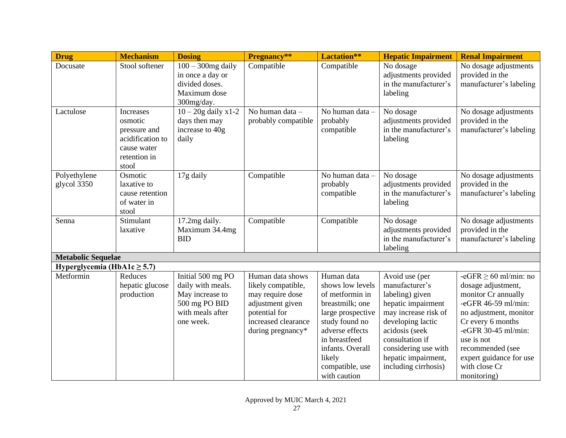| <b>Drug</b>                      | <b>Mechanism</b>                                                                                        | <b>Dosing</b>                                                                                               | Pregnancy**                                                                                                                                 | Lactation**                                                                                                                                                                                                      | <b>Hepatic Impairment</b>                                                                                                                                                                                                          | <b>Renal Impairment</b>                                                                                                                                                                                                                                          |
|----------------------------------|---------------------------------------------------------------------------------------------------------|-------------------------------------------------------------------------------------------------------------|---------------------------------------------------------------------------------------------------------------------------------------------|------------------------------------------------------------------------------------------------------------------------------------------------------------------------------------------------------------------|------------------------------------------------------------------------------------------------------------------------------------------------------------------------------------------------------------------------------------|------------------------------------------------------------------------------------------------------------------------------------------------------------------------------------------------------------------------------------------------------------------|
| Docusate                         | Stool softener                                                                                          | $100 - 300$ mg daily<br>in once a day or<br>divided doses.<br>Maximum dose<br>300mg/day.                    | Compatible                                                                                                                                  | Compatible                                                                                                                                                                                                       | No dosage<br>adjustments provided<br>in the manufacturer's<br>labeling                                                                                                                                                             | No dosage adjustments<br>provided in the<br>manufacturer's labeling                                                                                                                                                                                              |
| Lactulose                        | <b>Increases</b><br>osmotic<br>pressure and<br>acidification to<br>cause water<br>retention in<br>stool | $10 - 20g$ daily x1-2<br>days then may<br>increase to 40g<br>daily                                          | No human data -<br>probably compatible                                                                                                      | No human data -<br>probably<br>compatible                                                                                                                                                                        | No dosage<br>adjustments provided<br>in the manufacturer's<br>labeling                                                                                                                                                             | No dosage adjustments<br>provided in the<br>manufacturer's labeling                                                                                                                                                                                              |
| Polyethylene<br>glycol 3350      | Osmotic<br>laxative to<br>cause retention<br>of water in<br>stool                                       | 17g daily                                                                                                   | Compatible                                                                                                                                  | No human data -<br>probably<br>compatible                                                                                                                                                                        | No dosage<br>adjustments provided<br>in the manufacturer's<br>labeling                                                                                                                                                             | No dosage adjustments<br>provided in the<br>manufacturer's labeling                                                                                                                                                                                              |
| Senna                            | Stimulant<br>laxative                                                                                   | 17.2mg daily.<br>Maximum 34.4mg<br><b>BID</b>                                                               | Compatible                                                                                                                                  | Compatible                                                                                                                                                                                                       | No dosage<br>adjustments provided<br>in the manufacturer's<br>labeling                                                                                                                                                             | No dosage adjustments<br>provided in the<br>manufacturer's labeling                                                                                                                                                                                              |
| <b>Metabolic Sequelae</b>        |                                                                                                         |                                                                                                             |                                                                                                                                             |                                                                                                                                                                                                                  |                                                                                                                                                                                                                                    |                                                                                                                                                                                                                                                                  |
| Hyperglycemia (HbA1c $\geq$ 5.7) |                                                                                                         |                                                                                                             |                                                                                                                                             |                                                                                                                                                                                                                  |                                                                                                                                                                                                                                    |                                                                                                                                                                                                                                                                  |
| Metformin                        | Reduces<br>hepatic glucose<br>production                                                                | Initial 500 mg PO<br>daily with meals.<br>May increase to<br>500 mg PO BID<br>with meals after<br>one week. | Human data shows<br>likely compatible,<br>may require dose<br>adjustment given<br>potential for<br>increased clearance<br>during pregnancy* | Human data<br>shows low levels<br>of metformin in<br>breastmilk; one<br>large prospective<br>study found no<br>adverse effects<br>in breastfeed<br>infants. Overall<br>likely<br>compatible, use<br>with caution | Avoid use (per<br>manufacturer's<br>labeling) given<br>hepatic impairment<br>may increase risk of<br>developing lactic<br>acidosis (seek<br>consultation if<br>considering use with<br>hepatic impairment,<br>including cirrhosis) | $-eGFR \ge 60$ ml/min: no<br>dosage adjustment,<br>monitor Cr annually<br>-eGFR 46-59 ml/min:<br>no adjustment, monitor<br>Cr every 6 months<br>-eGFR 30-45 ml/min:<br>use is not<br>recommended (see<br>expert guidance for use<br>with close Cr<br>monitoring) |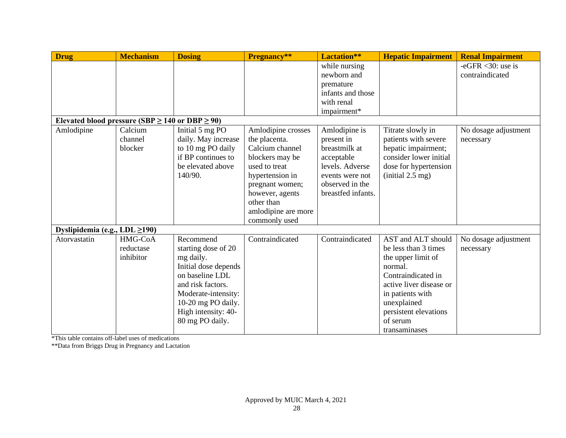| <b>Drug</b>                                               | <b>Mechanism</b>                  | <b>Dosing</b>                                                                                                                                                                                        | Pregnancy**                                                                                                                                                                                               | Lactation**                                                                                                                               | <b>Hepatic Impairment</b>                                                                                                                                                                                             | <b>Renal Impairment</b>                        |
|-----------------------------------------------------------|-----------------------------------|------------------------------------------------------------------------------------------------------------------------------------------------------------------------------------------------------|-----------------------------------------------------------------------------------------------------------------------------------------------------------------------------------------------------------|-------------------------------------------------------------------------------------------------------------------------------------------|-----------------------------------------------------------------------------------------------------------------------------------------------------------------------------------------------------------------------|------------------------------------------------|
|                                                           |                                   |                                                                                                                                                                                                      |                                                                                                                                                                                                           | while nursing<br>newborn and                                                                                                              |                                                                                                                                                                                                                       | -eGFR $\langle 30$ : use is<br>contraindicated |
|                                                           |                                   |                                                                                                                                                                                                      |                                                                                                                                                                                                           | premature                                                                                                                                 |                                                                                                                                                                                                                       |                                                |
|                                                           |                                   |                                                                                                                                                                                                      |                                                                                                                                                                                                           | infants and those                                                                                                                         |                                                                                                                                                                                                                       |                                                |
|                                                           |                                   |                                                                                                                                                                                                      |                                                                                                                                                                                                           | with renal                                                                                                                                |                                                                                                                                                                                                                       |                                                |
|                                                           |                                   |                                                                                                                                                                                                      |                                                                                                                                                                                                           | impairment*                                                                                                                               |                                                                                                                                                                                                                       |                                                |
| Elevated blood pressure (SBP $\geq$ 140 or DBP $\geq$ 90) |                                   |                                                                                                                                                                                                      |                                                                                                                                                                                                           |                                                                                                                                           |                                                                                                                                                                                                                       |                                                |
| Amlodipine                                                | Calcium<br>channel<br>blocker     | Initial 5 mg PO<br>daily. May increase<br>to 10 mg PO daily<br>if BP continues to<br>be elevated above<br>140/90.                                                                                    | Amlodipine crosses<br>the placenta.<br>Calcium channel<br>blockers may be<br>used to treat<br>hypertension in<br>pregnant women;<br>however, agents<br>other than<br>amlodipine are more<br>commonly used | Amlodipine is<br>present in<br>breastmilk at<br>acceptable<br>levels. Adverse<br>events were not<br>observed in the<br>breastfed infants. | Titrate slowly in<br>patients with severe<br>hepatic impairment;<br>consider lower initial<br>dose for hypertension<br>$(i$ nitial 2.5 mg)                                                                            | No dosage adjustment<br>necessary              |
| Dyslipidemia (e.g., $LDL \ge 190$ )                       |                                   |                                                                                                                                                                                                      |                                                                                                                                                                                                           |                                                                                                                                           |                                                                                                                                                                                                                       |                                                |
| Atorvastatin                                              | HMG-CoA<br>reductase<br>inhibitor | Recommend<br>starting dose of 20<br>mg daily.<br>Initial dose depends<br>on baseline LDL<br>and risk factors.<br>Moderate-intensity:<br>10-20 mg PO daily.<br>High intensity: 40-<br>80 mg PO daily. | Contraindicated                                                                                                                                                                                           | Contraindicated                                                                                                                           | AST and ALT should<br>be less than 3 times<br>the upper limit of<br>normal.<br>Contraindicated in<br>active liver disease or<br>in patients with<br>unexplained<br>persistent elevations<br>of serum<br>transaminases | No dosage adjustment<br>necessary              |

\*This table contains off-label uses of medications

\*\*Data from Briggs Drug in Pregnancy and Lactation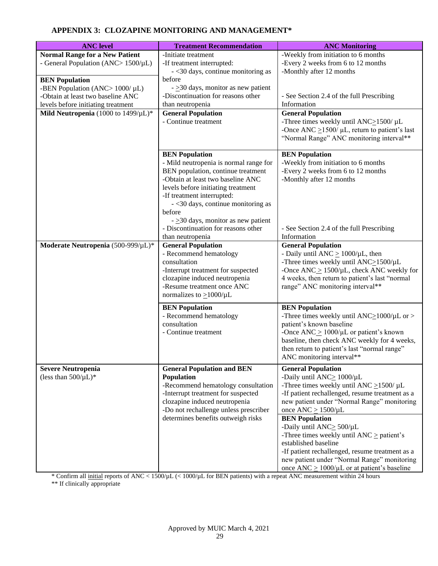# **APPENDIX 3: CLOZAPINE MONITORING AND MANAGEMENT\***

| <b>ANC</b> level                                                                                                                                                                                                               | <b>Treatment Recommendation</b>                                                                                                                                                                                                                                                                                                                                      | <b>ANC Monitoring</b>                                                                                                                                                                                                                                                                             |
|--------------------------------------------------------------------------------------------------------------------------------------------------------------------------------------------------------------------------------|----------------------------------------------------------------------------------------------------------------------------------------------------------------------------------------------------------------------------------------------------------------------------------------------------------------------------------------------------------------------|---------------------------------------------------------------------------------------------------------------------------------------------------------------------------------------------------------------------------------------------------------------------------------------------------|
| <b>Normal Range for a New Patient</b><br>- General Population (ANC> $1500/\mu L$ )<br><b>BEN</b> Population<br>-BEN Population (ANC> $1000/\mu L$ )<br>-Obtain at least two baseline ANC<br>levels before initiating treatment | -Initiate treatment<br>-If treatment interrupted:<br>$-$ <30 days, continue monitoring as<br>before<br>$ \geq$ 30 days, monitor as new patient<br>-Discontinuation for reasons other<br>than neutropenia                                                                                                                                                             | -Weekly from initiation to 6 months<br>-Every 2 weeks from 6 to 12 months<br>-Monthly after 12 months<br>- See Section 2.4 of the full Prescribing<br>Information                                                                                                                                 |
| Mild Neutropenia (1000 to $1499/\mu L$ )*                                                                                                                                                                                      | <b>General Population</b><br>- Continue treatment                                                                                                                                                                                                                                                                                                                    | <b>General Population</b><br>-Three times weekly until $ANC \ge 1500/\mu L$<br>-Once ANC $\geq$ 1500/ $\mu$ L, return to patient's last<br>"Normal Range" ANC monitoring interval**                                                                                                               |
|                                                                                                                                                                                                                                | <b>BEN</b> Population<br>- Mild neutropenia is normal range for<br>BEN population, continue treatment<br>-Obtain at least two baseline ANC<br>levels before initiating treatment<br>-If treatment interrupted:<br>- <30 days, continue monitoring as<br>before<br>$ \geq$ 30 days, monitor as new patient<br>- Discontinuation for reasons other<br>than neutropenia | <b>BEN</b> Population<br>-Weekly from initiation to 6 months<br>-Every 2 weeks from 6 to 12 months<br>-Monthly after 12 months<br>- See Section 2.4 of the full Prescribing<br>Information                                                                                                        |
| Moderate Neutropenia (500-999/µL)*                                                                                                                                                                                             | <b>General Population</b><br>- Recommend hematology<br>consultation<br>-Interrupt treatment for suspected<br>clozapine induced neutropenia<br>-Resume treatment once ANC<br>normalizes to $\geq$ 1000/µL                                                                                                                                                             | <b>General Population</b><br>- Daily until ANC $\geq 1000/\mu L$ , then<br>-Three times weekly until ANC>1500/µL<br>-Once $\text{ANC}_{\geq} 1500/\mu\text{L}$ , check ANC weekly for<br>4 weeks, then return to patient's last "normal<br>range" ANC monitoring interval**                       |
|                                                                                                                                                                                                                                | <b>BEN</b> Population<br>- Recommend hematology<br>consultation<br>- Continue treatment                                                                                                                                                                                                                                                                              | <b>BEN</b> Population<br>-Three times weekly until ANC $\geq$ 1000/ $\mu$ L or ><br>patient's known baseline<br>-Once ANC $\geq 1000/\mu L$ or patient's known<br>baseline, then check ANC weekly for 4 weeks,<br>then return to patient's last "normal range"<br>ANC monitoring interval**       |
| <b>Severe Neutropenia</b><br>(less than $500/\mu L$ )*                                                                                                                                                                         | <b>General Population and BEN</b><br><b>Population</b><br>-Recommend hematology consultation<br>-Interrupt treatment for suspected<br>clozapine induced neutropenia<br>-Do not rechallenge unless prescriber                                                                                                                                                         | <b>General Population</b><br>-Daily until ANC> 1000/µL<br>-Three times weekly until ANC $\geq$ 1500/ $\mu$ L<br>-If patient rechallenged, resume treatment as a<br>new patient under "Normal Range" monitoring<br>once $\text{ANC} \geq 1500/\mu\text{L}$                                         |
|                                                                                                                                                                                                                                | determines benefits outweigh risks                                                                                                                                                                                                                                                                                                                                   | <b>BEN</b> Population<br>-Daily until ANC> 500/µL<br>-Three times weekly until $ANC \geq patient's$<br>established baseline<br>-If patient rechallenged, resume treatment as a<br>new patient under "Normal Range" monitoring<br>once $\text{ANC} \geq 1000/\mu\text{L}$ or at patient's baseline |

\* Confirm all initial reports of ANC < 1500/µL (< 1000/µL for BEN patients) with a repeat ANC measurement within 24 hours

\*\* If clinically appropriate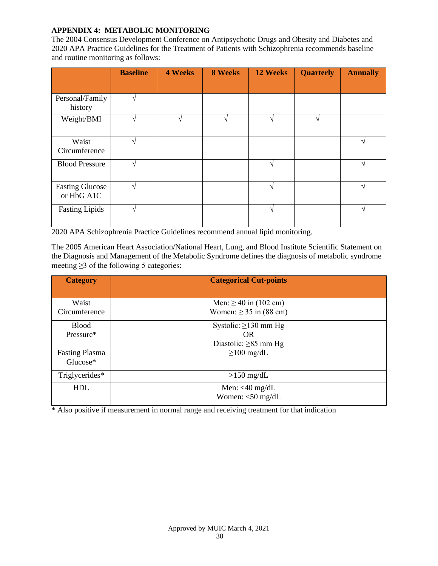## **APPENDIX 4: METABOLIC MONITORING**

The 2004 Consensus Development Conference on Antipsychotic Drugs and Obesity and Diabetes and 2020 APA Practice Guidelines for the Treatment of Patients with Schizophrenia recommends baseline and routine monitoring as follows:

|                                      | <b>Baseline</b> | <b>4 Weeks</b> | <b>8 Weeks</b> | 12 Weeks | <b>Quarterly</b> | <b>Annually</b> |
|--------------------------------------|-----------------|----------------|----------------|----------|------------------|-----------------|
|                                      |                 |                |                |          |                  |                 |
| Personal/Family<br>history           | $\mathcal{L}$   |                |                |          |                  |                 |
| Weight/BMI                           | $\mathcal{L}$   |                |                |          |                  |                 |
| Waist<br>Circumference               | $\mathcal{N}$   |                |                |          |                  |                 |
| <b>Blood Pressure</b>                | $\mathcal{L}$   |                |                |          |                  | $\mathcal{L}$   |
| <b>Fasting Glucose</b><br>or HbG A1C | $\mathcal{N}$   |                |                |          |                  |                 |
| <b>Fasting Lipids</b>                | $\sqrt{ }$      |                |                | ٦        |                  | $\mathcal{L}$   |

2020 APA Schizophrenia Practice Guidelines recommend annual lipid monitoring.

The 2005 American Heart Association/National Heart, Lung, and Blood Institute Scientific Statement on the Diagnosis and Management of the Metabolic Syndrome defines the diagnosis of metabolic syndrome meeting  $\geq$ 3 of the following 5 categories:

| <b>Category</b>       | <b>Categorical Cut-points</b> |
|-----------------------|-------------------------------|
|                       |                               |
| Waist                 | Men: $\geq 40$ in (102 cm)    |
| Circumference         | Women: $\geq$ 35 in (88 cm)   |
| <b>Blood</b>          | Systolic: $\geq$ 130 mm Hg    |
| Pressure*             | <b>OR</b>                     |
|                       | Diastolic: $\geq 85$ mm Hg    |
| <b>Fasting Plasma</b> | $\geq$ 100 mg/dL              |
| Glucose*              |                               |
| Triglycerides*        | $>150$ mg/dL                  |
| <b>HDL</b>            | Men: $<$ 40 mg/dL             |
|                       | Women: $<$ 50 mg/dL           |

\* Also positive if measurement in normal range and receiving treatment for that indication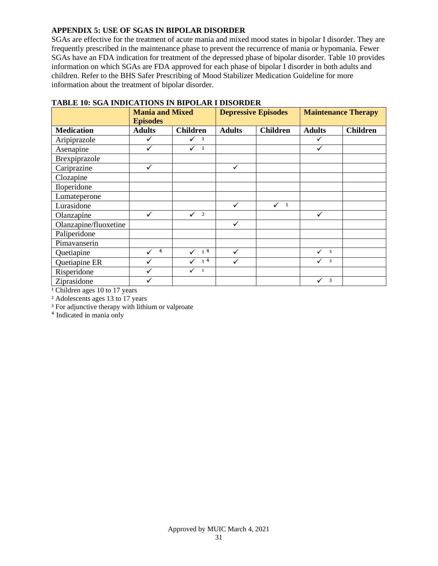### **APPENDIX 5: USE OF SGAS IN BIPOLAR DISORDER**

SGAs are effective for the treatment of acute mania and mixed mood states in bipolar I disorder. They are frequently prescribed in the maintenance phase to prevent the recurrence of mania or hypomania. Fewer SGAs have an FDA indication for treatment of the depressed phase of bipolar disorder. Table 10 provides information on which SGAs are FDA approved for each phase of bipolar I disorder in both adults and children. Refer to the BHS Safer Prescribing of Mood Stabilizer Medication Guideline for more information about the treatment of bipolar disorder.

|                       | <b>Mania and Mixed</b><br><b>Episodes</b> |                     | <b>Depressive Episodes</b> |                   | <b>Maintenance Therapy</b>              |                 |
|-----------------------|-------------------------------------------|---------------------|----------------------------|-------------------|-----------------------------------------|-----------------|
| <b>Medication</b>     | <b>Adults</b>                             | <b>Children</b>     | <b>Adults</b>              | <b>Children</b>   | <b>Adults</b>                           | <b>Children</b> |
| Aripiprazole          | ✓                                         | $\checkmark$ 1      |                            |                   | ✓                                       |                 |
| Asenapine             | $\checkmark$                              | $\checkmark$ 1      |                            |                   | $\checkmark$                            |                 |
| Brexpiprazole         |                                           |                     |                            |                   |                                         |                 |
| Cariprazine           | ✓                                         |                     | ✓                          |                   |                                         |                 |
| Clozapine             |                                           |                     |                            |                   |                                         |                 |
| Iloperidone           |                                           |                     |                            |                   |                                         |                 |
| Lumateperone          |                                           |                     |                            |                   |                                         |                 |
| Lurasidone            |                                           |                     |                            | ✓<br>$\mathbf{1}$ |                                         |                 |
| Olanzapine            | ✓                                         | $\overline{2}$<br>✓ |                            |                   | ✓                                       |                 |
| Olanzapine/fluoxetine |                                           |                     |                            |                   |                                         |                 |
| Paliperidone          |                                           |                     |                            |                   |                                         |                 |
| Pimavanserin          |                                           |                     |                            |                   |                                         |                 |
| Quetiapine            | $\overline{4}$<br>✓                       | 1 <sup>4</sup>      | ✓                          |                   | $\checkmark$<br>$\overline{\mathbf{3}}$ |                 |
| Quetiapine ER         | ✓                                         | 1 <sup>4</sup>      |                            |                   | $\checkmark$<br>$\overline{\mathbf{3}}$ |                 |
| Risperidone           | $\checkmark$                              | ✓<br>$\blacksquare$ |                            |                   |                                         |                 |
| Ziprasidone<br>-----  | ✓                                         |                     |                            |                   | $\checkmark$<br>3                       |                 |

# **TABLE 10: SGA INDICATIONS IN BIPOLAR I DISORDER**

<sup>1</sup> Children ages 10 to 17 years

² Adolescents ages 13 to 17 years

<sup>3</sup> For adjunctive therapy with lithium or valproate

<sup>4</sup> Indicated in mania only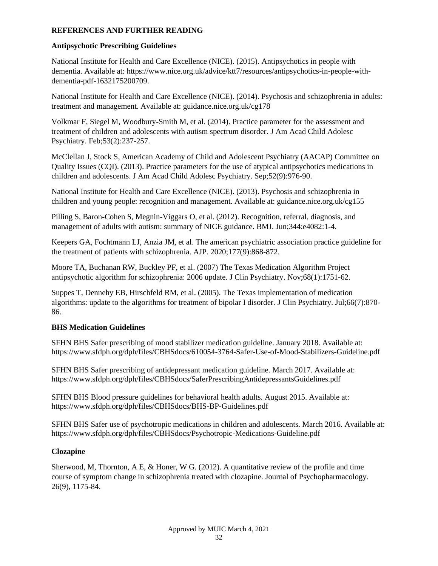### **REFERENCES AND FURTHER READING**

## **Antipsychotic Prescribing Guidelines**

National Institute for Health and Care Excellence (NICE). (2015). Antipsychotics in people with dementia. Available at: https://www.nice.org.uk/advice/ktt7/resources/antipsychotics-in-people-withdementia-pdf-1632175200709.

National Institute for Health and Care Excellence (NICE). (2014). Psychosis and schizophrenia in adults: treatment and management. Available at: guidance.nice.org.uk/cg178

Volkmar F, Siegel M, Woodbury-Smith M, et al. (2014). Practice parameter for the assessment and treatment of children and adolescents with autism spectrum disorder. J Am Acad Child Adolesc Psychiatry. Feb;53(2):237-257.

McClellan J, Stock S, American Academy of Child and Adolescent Psychiatry (AACAP) Committee on Quality Issues (CQI). (2013). Practice parameters for the use of atypical antipsychotics medications in children and adolescents. J Am Acad Child Adolesc Psychiatry. Sep;52(9):976-90.

National Institute for Health and Care Excellence (NICE). (2013). Psychosis and schizophrenia in children and young people: recognition and management. Available at: guidance.nice.org.uk/cg155

Pilling S, Baron-Cohen S, Megnin-Viggars O, et al. (2012). Recognition, referral, diagnosis, and management of adults with autism: summary of NICE guidance. BMJ. Jun;344:e4082:1-4.

Keepers GA, Fochtmann LJ, Anzia JM, et al. The american psychiatric association practice guideline for the treatment of patients with schizophrenia. AJP. 2020;177(9):868-872.

Moore TA, Buchanan RW, Buckley PF, et al. (2007) The Texas Medication Algorithm Project antipsychotic algorithm for schizophrenia: 2006 update. J Clin Psychiatry. Nov;68(1):1751-62.

Suppes T, Dennehy EB, Hirschfeld RM, et al. (2005). The Texas implementation of medication algorithms: update to the algorithms for treatment of bipolar I disorder. J Clin Psychiatry. Jul;66(7):870- 86.

# **BHS Medication Guidelines**

SFHN BHS Safer prescribing of mood stabilizer medication guideline. January 2018. Available at: https://www.sfdph.org/dph/files/CBHSdocs/610054-3764-Safer-Use-of-Mood-Stabilizers-Guideline.pdf

SFHN BHS Safer prescribing of antidepressant medication guideline. March 2017. Available at: https://www.sfdph.org/dph/files/CBHSdocs/SaferPrescribingAntidepressantsGuidelines.pdf

SFHN BHS Blood pressure guidelines for behavioral health adults. August 2015. Available at: https://www.sfdph.org/dph/files/CBHSdocs/BHS-BP-Guidelines.pdf

SFHN BHS Safer use of psychotropic medications in children and adolescents. March 2016. Available at: https://www.sfdph.org/dph/files/CBHSdocs/Psychotropic-Medications-Guideline.pdf

### **Clozapine**

Sherwood, M, Thornton, A E, & Honer, W G.  $(2012)$ . A quantitative review of the profile and time course of symptom change in schizophrenia treated with clozapine. Journal of Psychopharmacology. 26(9), 1175-84.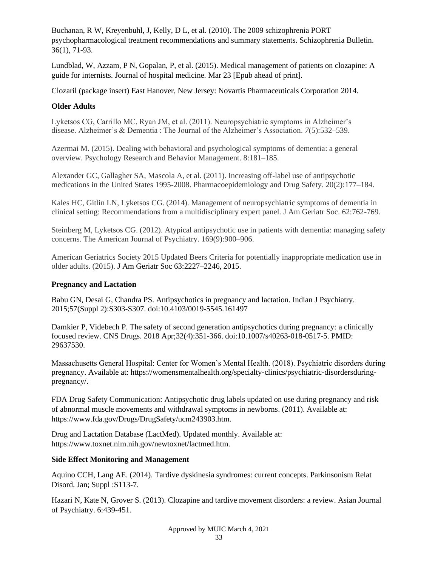Buchanan, R W, Kreyenbuhl, J, Kelly, D L, et al. (2010). The 2009 schizophrenia PORT psychopharmacological treatment recommendations and summary statements. Schizophrenia Bulletin. 36(1), 71-93.

Lundblad, W, Azzam, P N, Gopalan, P, et al. (2015). Medical management of patients on clozapine: A guide for internists. Journal of hospital medicine*.* Mar 23 [Epub ahead of print].

Clozaril (package insert) East Hanover, New Jersey: Novartis Pharmaceuticals Corporation 2014.

### **Older Adults**

Lyketsos CG, Carrillo MC, Ryan JM, et al. (2011). Neuropsychiatric symptoms in Alzheimer's disease. Alzheimer's & Dementia : The Journal of the Alzheimer's Association. *7*(5):532–539.

Azermai M. (2015). Dealing with behavioral and psychological symptoms of dementia: a general overview. Psychology Research and Behavior Management. 8:181–185.

Alexander GC, Gallagher SA, Mascola A, et al. (2011). Increasing off-label use of antipsychotic medications in the United States 1995-2008. Pharmacoepidemiology and Drug Safety. 20(2):177–184.

Kales HC, Gitlin LN, Lyketsos CG. (2014). Management of neuropsychiatric symptoms of dementia in clinical setting: Recommendations from a multidisciplinary expert panel. J Am Geriatr Soc. 62:762-769.

Steinberg M, Lyketsos CG. (2012). Atypical antipsychotic use in patients with dementia: managing safety concerns. The American Journal of Psychiatry. 169(9):900–906.

American Geriatrics Society 2015 Updated Beers Criteria for potentially inappropriate medication use in older adults. (2015). J Am Geriatr Soc 63:2227–2246, 2015.

### **Pregnancy and Lactation**

Babu GN, Desai G, Chandra PS. Antipsychotics in pregnancy and lactation. Indian J Psychiatry. 2015;57(Suppl 2):S303-S307. doi:10.4103/0019-5545.161497

Damkier P, Videbech P. The safety of second generation antipsychotics during pregnancy: a clinically focused review. CNS Drugs. 2018 Apr;32(4):351-366. doi:10.1007/s40263-018-0517-5. PMID: 29637530.

Massachusetts General Hospital: Center for Women's Mental Health. (2018). Psychiatric disorders during pregnancy. Available at: https://womensmentalhealth.org/specialty-clinics/psychiatric-disordersduringpregnancy/.

FDA Drug Safety Communication: Antipsychotic drug labels updated on use during pregnancy and risk of abnormal muscle movements and withdrawal symptoms in newborns. (2011). Available at: https://www.fda.gov/Drugs/DrugSafety/ucm243903.htm.

Drug and Lactation Database (LactMed). Updated monthly. Available at: https://www.toxnet.nlm.nih.gov/newtoxnet/lactmed.htm.

### **Side Effect Monitoring and Management**

Aquino CCH, Lang AE. (2014). Tardive dyskinesia syndromes: current concepts. Parkinsonism Relat Disord. Jan; Suppl : S113-7.

Hazari N, Kate N, Grover S. (2013). Clozapine and tardive movement disorders: a review. Asian Journal of Psychiatry. 6:439-451.